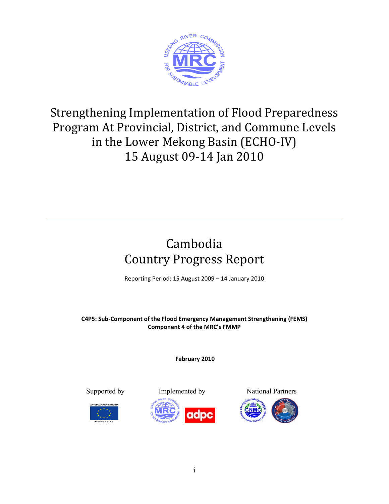

# Strengthening Implementation of Flood Preparedness Program At Provincial, District, and Commune Levels in the Lower Mekong Basin (ECHO‐IV) 15 August 09‐14 Jan 2010

# Cambodia Country Progress Report

Reporting Period: 15 August 2009 – 14 January 2010

**C4P5: Sub‐Component of the Flood Emergency Management Strengthening (FEMS) Component 4 of the MRC's FMMP**

**February 2010**





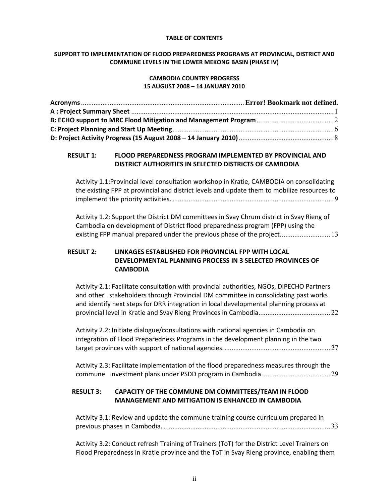#### **TABLE OF CONTENTS**

#### **SUPPORT TO IMPLEMENTATION OF FLOOD PREPAREDNESS PROGRAMS AT PROVINCIAL, DISTRICT AND COMMUNE LEVELS IN THE LOWER MEKONG BASIN (PHASE IV)**

#### **CAMBODIA COUNTRY PROGRESS 15 AUGUST 2008 – 14 JANUARY 2010**

#### **RESULT 1: FLOOD PREPAREDNESS PROGRAM IMPLEMENTED BY PROVINCIAL AND DISTRICT AUTHORITIES IN SELECTED DISTRICTS OF CAMBODIA**

Activity 1.1:Provincial level consultation workshop in Kratie, CAMBODIA on consolidating the existing FPP at provincial and district levels and update them to mobilize resources to implement the priority activities. .......................................................................................... 9

Activity 1.2: Support the District DM committees in Svay Chrum district in Svay Rieng of Cambodia on development of District flood preparedness program (FPP) using the existing FPP manual prepared under the previous phase of the project................................ 13

#### **RESULT 2: LINKAGES ESTABLISHED FOR PROVINCIAL FPP WITH LOCAL DEVELOPMENTAL PLANNING PROCESS IN 3 SELECTED PROVINCES OF CAMBODIA**

Activity 2.1: Facilitate consultation with provincial authorities, NGOs, DIPECHO Partners and other stakeholders through Provincial DM committee in consolidating past works and identify next steps for DRR integration in local developmental planning process at provincial level in Kratie and Svay Rieng Provinces in Cambodia. ....................................... 22

Activity 2.2: Initiate dialogue/consultations with national agencies in Cambodia on integration of Flood Preparedness Programs in the development planning in the two target provinces with support of national agencies. ........................................................... 27

Activity 2.3: Facilitate implementation of the flood preparedness measures through the commune investment plans under PSDD program in Cambodia ...................................... 29

#### **RESULT 3: CAPACITY OF THE COMMUNE DM COMMITTEES/TEAM IN FLOOD MANAGEMENT AND MITIGATION IS ENHANCED IN CAMBODIA**

Activity 3.1: Review and update the commune training course curriculum prepared in previous phases in Cambodia. ............................................................................................. 33

Activity 3.2: Conduct refresh Training of Trainers (ToT) for the District Level Trainers on Flood Preparedness in Kratie province and the ToT in Svay Rieng province, enabling them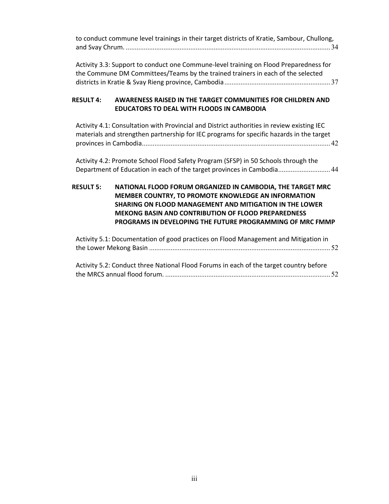| to conduct commune level trainings in their target districts of Kratie, Sambour, Chullong, |  |
|--------------------------------------------------------------------------------------------|--|
|                                                                                            |  |

Activity 3.3: Support to conduct one Commune‐level training on Flood Preparedness for the Commune DM Committees/Teams by the trained trainers in each of the selected districts in Kratie & Svay Rieng province, Cambodia ........................................................... 37

#### **RESULT 4: AWARENESS RAISED IN THE TARGET COMMUNITIES FOR CHILDREN AND EDUCATORS TO DEAL WITH FLOODS IN CAMBODIA**

Activity 4.1: Consultation with Provincial and District authorities in review existing IEC materials and strengthen partnership for IEC programs for specific hazards in the target provinces in Cambodia ......................................................................................................... 42

Activity 4.2: Promote School Flood Safety Program (SFSP) in 50 Schools through the Department of Education in each of the target provinces in Cambodia ............................. 44

#### **RESULT 5: NATIONAL FLOOD FORUM ORGANIZED IN CAMBODIA, THE TARGET MRC MEMBER COUNTRY, TO PROMOTE KNOWLEDGE AN INFORMATION SHARING ON FLOOD MANAGEMENT AND MITIGATION IN THE LOWER MEKONG BASIN AND CONTRIBUTION OF FLOOD PREPAREDNESS PROGRAMS IN DEVELOPING THE FUTURE PROGRAMMING OF MRC FMMP**

Activity 5.1: Documentation of good practices on Flood Management and Mitigation in the Lower Mekong Basin ..................................................................................................... 52

Activity 5.2: Conduct three National Flood Forums in each of the target country before the MRCS annual flood forum. ............................................................................................ 52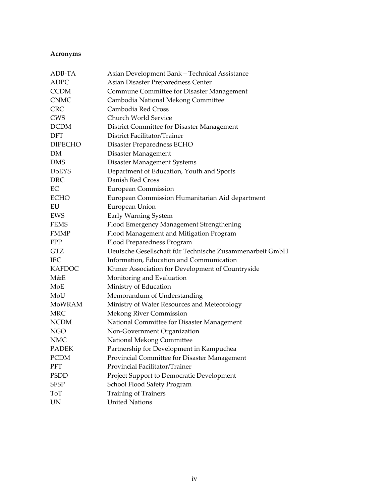## **Acronyms**

| ADB-TA         | Asian Development Bank - Technical Assistance            |
|----------------|----------------------------------------------------------|
| ADPC           | Asian Disaster Preparedness Center                       |
| <b>CCDM</b>    | Commune Committee for Disaster Management                |
| <b>CNMC</b>    | Cambodia National Mekong Committee                       |
| <b>CRC</b>     | Cambodia Red Cross                                       |
| <b>CWS</b>     | Church World Service                                     |
| <b>DCDM</b>    | District Committee for Disaster Management               |
| DFT            | District Facilitator/Trainer                             |
| <b>DIPECHO</b> | Disaster Preparedness ECHO                               |
| DM             | Disaster Management                                      |
| <b>DMS</b>     | Disaster Management Systems                              |
| <b>DoEYS</b>   | Department of Education, Youth and Sports                |
| <b>DRC</b>     | Danish Red Cross                                         |
| EC             | European Commission                                      |
| <b>ECHO</b>    | European Commission Humanitarian Aid department          |
| EU             | European Union                                           |
| EWS            | Early Warning System                                     |
| <b>FEMS</b>    | Flood Emergency Management Strengthening                 |
| <b>FMMP</b>    | Flood Management and Mitigation Program                  |
| <b>FPP</b>     | Flood Preparedness Program                               |
| <b>GTZ</b>     | Deutsche Gesellschaft für Technische Zusammenarbeit GmbH |
| <b>IEC</b>     | Information, Education and Communication                 |
| <b>KAFDOC</b>  | Khmer Association for Development of Countryside         |
| M&E            | Monitoring and Evaluation                                |
| MoE            | Ministry of Education                                    |
| MoU            | Memorandum of Understanding                              |
| MoWRAM         | Ministry of Water Resources and Meteorology              |
| <b>MRC</b>     | Mekong River Commission                                  |
| <b>NCDM</b>    | National Committee for Disaster Management               |
| <b>NGO</b>     | Non-Government Organization                              |
| <b>NMC</b>     | National Mekong Committee                                |
| <b>PADEK</b>   | Partnership for Development in Kampuchea                 |
| <b>PCDM</b>    | Provincial Committee for Disaster Management             |
| <b>PFT</b>     | Provincial Facilitator/Trainer                           |
| <b>PSDD</b>    | Project Support to Democratic Development                |
| <b>SFSP</b>    | School Flood Safety Program                              |
| ToT            | Training of Trainers                                     |
| UN             | <b>United Nations</b>                                    |
|                |                                                          |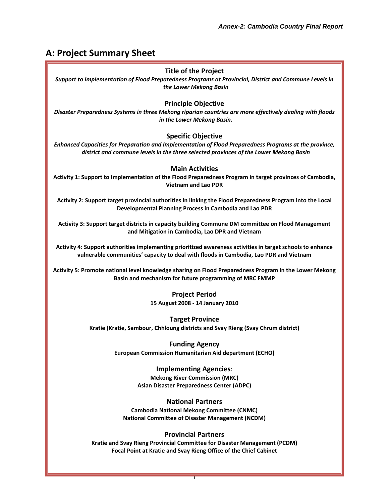## **A: Project Summary Sheet**

#### **Title of the Project**

*Support to Implementation of Flood Preparedness Programs at Provincial, District and Commune Levels in the Lower Mekong Basin*

#### **Principle Objective**

*Disaster Preparedness Systems in three Mekong riparian countries are more effectively dealing with floods in the Lower Mekong Basin.*

#### **Specific Objective**

*Enhanced Capacities for Preparation and Implementation of Flood Preparedness Programs at the province, district and commune levels in the three selected provinces of the Lower Mekong Basin*

#### **Main Activities**

**Activity 1: Support to Implementation of the Flood Preparedness Program in target provinces of Cambodia, Vietnam and Lao PDR**

**Activity 2: Support target provincial authorities in linking the Flood Preparedness Program into the Local Developmental Planning Process in Cambodia and Lao PDR**

**Activity 3: Support target districts in capacity building Commune DM committee on Flood Management and Mitigation in Cambodia, Lao DPR and Vietnam**

**Activity 4: Support authorities implementing prioritized awareness activities in target schools to enhance vulnerable communities' capacity to deal with floods in Cambodia, Lao PDR and Vietnam**

**Activity 5: Promote national level knowledge sharing on Flood Preparedness Program in the Lower Mekong Basin and mechanism for future programming of MRC FMMP**

> **Project Period 15 August 2008 ‐ 14 January 2010**

**Target Province Kratie (Kratie, Sambour, Chhloung districts and Svay Rieng (Svay Chrum district)**

> **Funding Agency European Commission Humanitarian Aid department (ECHO)**

> > **Implementing Agencies**: **Mekong River Commission (MRC) Asian Disaster Preparedness Center (ADPC)**

**National Partners Cambodia National Mekong Committee (CNMC) National Committee of Disaster Management (NCDM)**

#### **Provincial Partners**

**Kratie and Svay Rieng Provincial Committee for Disaster Management (PCDM) Focal Point at Kratie and Svay Rieng Office of the Chief Cabinet**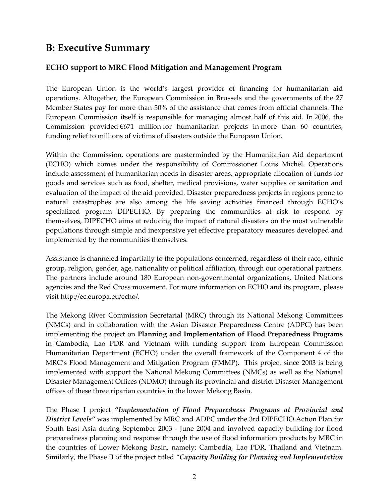## **B: Executive Summary**

## **ECHO support to MRC Flood Mitigation and Management Program**

The European Union is the world's largest provider of financing for humanitarian aid operations. Altogether, the European Commission in Brussels and the governments of the 27 Member States pay for more than 50% of the assistance that comes from official channels. The European Commission itself is responsible for managing almost half of this aid. In 2006, the Commission provided  $6671$  million for humanitarian projects in more than 60 countries, funding relief to millions of victims of disasters outside the European Union.

Within the Commission, operations are masterminded by the Humanitarian Aid department (ECHO) which comes under the responsibility of Commissioner Louis Michel. Operations include assessment of humanitarian needs in disaster areas, appropriate allocation of funds for goods and services such as food, shelter, medical provisions, water supplies or sanitation and evaluation of the impact of the aid provided. Disaster preparedness projects in regions prone to natural catastrophes are also among the life saving activities financed through ECHO's specialized program DIPECHO. By preparing the communities at risk to respond by themselves, DIPECHO aims at reducing the impact of natural disasters on the most vulnerable populations through simple and inexpensive yet effective preparatory measures developed and implemented by the communities themselves.

Assistance is channeled impartially to the populations concerned, regardless of their race, ethnic group, religion, gender, age, nationality or political affiliation, through our operational partners. The partners include around 180 European non‐governmental organizations, United Nations agencies and the Red Cross movement. For more information on ECHO and its program, please visit http://ec.europa.eu/echo/.

The Mekong River Commission Secretarial (MRC) through its National Mekong Committees (NMCs) and in collaboration with the Asian Disaster Preparedness Centre (ADPC) has been implementing the project on **Planning and Implementation of Flood Preparedness Programs** in Cambodia, Lao PDR and Vietnam with funding support from European Commission Humanitarian Department (ECHO) under the overall framework of the Component 4 of the MRC's Flood Management and Mitigation Program (FMMP). This project since 2003 is being implemented with support the National Mekong Committees (NMCs) as well as the National Disaster Management Offices (NDMO) through its provincial and district Disaster Management offices of these three riparian countries in the lower Mekong Basin.

The Phase I project **"***Implementation of Flood Preparedness Programs at Provincial and District Levels"* was implemented by MRC and ADPC under the 3rd DIPECHO Action Plan for South East Asia during September 2003 ‐ June 2004 and involved capacity building for flood preparedness planning and response through the use of flood information products by MRC in the countries of Lower Mekong Basin, namely; Cambodia, Lao PDR, Thailand and Vietnam. Similarly, the Phase II of the project titled *"Capacity Building for Planning and Implementation*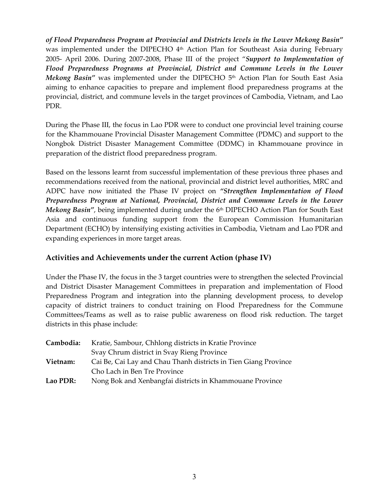*of Flood Preparedness Program at Provincial and Districts levels in the Lower Mekong Basin"* was implemented under the DIPECHO  $4<sup>th</sup>$  Action Plan for Southeast Asia during February 2005‐ April 2006. During 2007‐2008, Phase III of the project "*Support to Implementation of Flood Preparedness Programs at Provincial, District and Commune Levels in the Lower Mekong Basin"* was implemented under the DIPECHO 5<sup>th</sup> Action Plan for South East Asia aiming to enhance capacities to prepare and implement flood preparedness programs at the provincial, district, and commune levels in the target provinces of Cambodia, Vietnam, and Lao PDR.

During the Phase III, the focus in Lao PDR were to conduct one provincial level training course for the Khammouane Provincial Disaster Management Committee (PDMC) and support to the Nongbok District Disaster Management Committee (DDMC) in Khammouane province in preparation of the district flood preparedness program.

Based on the lessons learnt from successful implementation of these previous three phases and recommendations received from the national, provincial and district level authorities, MRC and ADPC have now initiated the Phase IV project on *"Strengthen Implementation of Flood Preparedness Program at National, Provincial, District and Commune Levels in the Lower Mekong Basin"*, being implemented during under the 6<sup>th</sup> DIPECHO Action Plan for South East Asia and continuous funding support from the European Commission Humanitarian Department (ECHO) by intensifying existing activities in Cambodia, Vietnam and Lao PDR and expanding experiences in more target areas.

### **Activities and Achievements under the current Action (phase IV)**

Under the Phase IV, the focus in the 3 target countries were to strengthen the selected Provincial and District Disaster Management Committees in preparation and implementation of Flood Preparedness Program and integration into the planning development process, to develop capacity of district trainers to conduct training on Flood Preparedness for the Commune Committees/Teams as well as to raise public awareness on flood risk reduction. The target districts in this phase include:

| Cambodia: | Kratie, Sambour, Chhlong districts in Kratie Province           |
|-----------|-----------------------------------------------------------------|
|           | Svay Chrum district in Svay Rieng Province                      |
| Vietnam:  | Cai Be, Cai Lay and Chau Thanh districts in Tien Giang Province |
|           | Cho Lach in Ben Tre Province                                    |
| Lao PDR:  | Nong Bok and Xenbangfai districts in Khammouane Province        |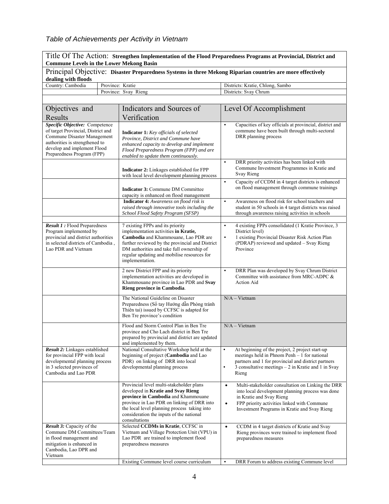## *Table of Achievements per Activity in Vietnam*

| Title Of The Action: Strengthen Implementation of the Flood Preparedness Programs at Provincial, District and<br><b>Commune Levels in the Lower Mekong Basin</b>                                   |                                                                                                                                                                                                                                                                                    |                                                                                                                                                                                                                                                            |  |
|----------------------------------------------------------------------------------------------------------------------------------------------------------------------------------------------------|------------------------------------------------------------------------------------------------------------------------------------------------------------------------------------------------------------------------------------------------------------------------------------|------------------------------------------------------------------------------------------------------------------------------------------------------------------------------------------------------------------------------------------------------------|--|
|                                                                                                                                                                                                    |                                                                                                                                                                                                                                                                                    | Principal Objective: Disaster Preparedness Systems in three Mekong Riparian countries are more effectively                                                                                                                                                 |  |
| dealing with floods                                                                                                                                                                                |                                                                                                                                                                                                                                                                                    |                                                                                                                                                                                                                                                            |  |
| Country: Cambodia                                                                                                                                                                                  | Province: Kratie                                                                                                                                                                                                                                                                   | Districts: Kratie, Chlong, Sambo                                                                                                                                                                                                                           |  |
|                                                                                                                                                                                                    | Province: Svay Rieng                                                                                                                                                                                                                                                               | Districts: Svay Chrum                                                                                                                                                                                                                                      |  |
|                                                                                                                                                                                                    |                                                                                                                                                                                                                                                                                    |                                                                                                                                                                                                                                                            |  |
| Objectives and                                                                                                                                                                                     | Indicators and Sources of                                                                                                                                                                                                                                                          | Level Of Accomplishment                                                                                                                                                                                                                                    |  |
| Results                                                                                                                                                                                            | Verification                                                                                                                                                                                                                                                                       |                                                                                                                                                                                                                                                            |  |
| Specific Objective: Competence<br>of target Provincial, District and<br>Commune Disaster Management<br>authorities is strengthened to<br>develop and implement Flood<br>Preparedness Program (FPP) | <b>Indicator 1:</b> Key officials of selected<br>Province, District and Commune have<br>enhanced capacity to develop and implement<br>Flood Preparedness Program (FPP) and are<br>enabled to update them continuously.                                                             | Capacities of key officials at provincial, district and<br>$\bullet$<br>commune have been built through multi-sectoral<br>DRR planning process                                                                                                             |  |
|                                                                                                                                                                                                    | <b>Indicator 2:</b> Linkages established for FPP<br>with local level development planning process                                                                                                                                                                                  | DRR priority activities has been linked with<br>$\bullet$<br>Commune Investment Programmes in Kratie and<br>Svay Rieng                                                                                                                                     |  |
|                                                                                                                                                                                                    | <b>Indicator 3: Commune DM Committee</b><br>capacity is enhanced on flood management                                                                                                                                                                                               | Capacity of CCDM in 4 target districts is enhanced<br>$\bullet$<br>on flood management through commune trainings                                                                                                                                           |  |
|                                                                                                                                                                                                    | <b>Indicator 4:</b> Awareness on flood risk is<br>raised through innovative tools including the<br>School Flood Safety Program (SFSP)                                                                                                                                              | $\bullet$<br>Awareness on flood risk for school teachers and<br>student in 50 schools in 4 target districts was raised<br>through awareness raising activities in schools                                                                                  |  |
| <b>Result 1:</b> Flood Preparedness<br>Program implemented by<br>provincial and district authorities<br>in selected districts of Cambodia,<br>Lao PDR and Vietnam                                  | 7 existing FPPs and its priority<br>implementation activities in Kratie,<br>Cambodia and Khammouane, Lao PDR are<br>further reviewed by the provincial and District<br>DM authorities and take full ownership of<br>regular updating and mobilise resources for<br>implementation. | 4 existing FPPs consolidated (1 Kratie Province, 3<br>$\bullet$<br>District level)<br>1 existing Provincial Disaster Risk Action Plan<br>$\bullet$<br>(PDRAP) reviewed and updated - Svay Rieng<br>Province                                                |  |
|                                                                                                                                                                                                    | 2 new District FPP and its priority<br>implementation activities are developed in<br>Khammouane province in Lao PDR and Svay<br>Rieng province in Cambodia.                                                                                                                        | DRR Plan was developed by Svay Chrum District<br>$\bullet$<br>Committee with assistance from MRC-ADPC &<br><b>Action Aid</b>                                                                                                                               |  |
|                                                                                                                                                                                                    | The National Guideline on Disaster<br>Preparedness (Sổ tay Hướng dẫn Phòng tránh<br>Thiên tai) issued by CCFSC is adapted for<br>Ben Tre province's condition                                                                                                                      | $N/A - Vietnam$                                                                                                                                                                                                                                            |  |
|                                                                                                                                                                                                    | Flood and Storm Control Plan in Ben Tre<br>province and Cho Lach district in Ben Tre<br>prepared by provincial and district are updated<br>and implemented by them.                                                                                                                | $N/A - Vietnam$                                                                                                                                                                                                                                            |  |
| Result 2: Linkages established<br>for provincial FPP with local<br>developmental planning process<br>in 3 selected provinces of<br>Cambodia and Lao PDR                                            | National Consultative Workshop held at the<br>beginning of project (Cambodia and Lao<br>PDR) on linking of DRR into local<br>developmental planning process                                                                                                                        | At beginning of the project, 2 project start-up<br>$\bullet$<br>meetings held in Phnom Penh - 1 for national<br>partners and 1 for provincial and district partners<br>$\bullet$<br>3 consultative meetings $-2$ in Kratie and 1 in Svay<br>Rieng          |  |
|                                                                                                                                                                                                    | Provincial level multi-stakeholder plans<br>developed in Kratie and Svay Rieng<br>province in Cambodia and Khammouane<br>province in Lao PDR on linking of DRR into<br>the local level planning process taking into<br>consideration the inputs of the national<br>consultations   | Multi-stakeholder consultation on Linking the DRR<br>$\bullet$<br>into local development planning process was done<br>in Kratie and Svay Rieng<br>FPP priority activities linked with Commune<br>$\bullet$<br>Investment Programs in Kratie and Svay Rieng |  |
| <b>Result 3:</b> Capacity of the<br>Commune DM Committees/Team<br>in flood management and<br>mitigation is enhanced in<br>Cambodia, Lao DPR and<br>Vietnam                                         | Selected CCDMs in Kratie, CCFSC in<br>Vietnam and Village Protection Unit (VPU) in<br>Lao PDR are trained to implement flood<br>preparedness measures                                                                                                                              | CCDM in 4 target districts of Kratie and Svay<br>$\bullet$<br>Rieng provinces were trained to implement flood<br>preparedness measures                                                                                                                     |  |
|                                                                                                                                                                                                    | Existing Commune level course curriculum                                                                                                                                                                                                                                           | DRR Forum to address existing Commune level<br>$\bullet$                                                                                                                                                                                                   |  |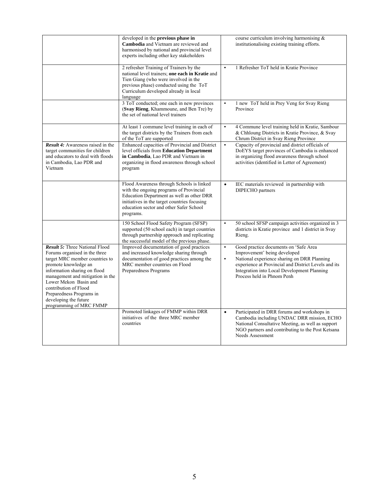|                                                                                                                                                                                                                                                                                                                                        | developed in the <b>previous</b> phase in<br>Cambodia and Vietnam are reviewed and<br>harmonised by national and provincial level<br>experts including other key stakeholders                                                             |                        | course curriculum involving harmonising $\&$<br>institutionalising existing training efforts.                                                                                                                                                             |
|----------------------------------------------------------------------------------------------------------------------------------------------------------------------------------------------------------------------------------------------------------------------------------------------------------------------------------------|-------------------------------------------------------------------------------------------------------------------------------------------------------------------------------------------------------------------------------------------|------------------------|-----------------------------------------------------------------------------------------------------------------------------------------------------------------------------------------------------------------------------------------------------------|
|                                                                                                                                                                                                                                                                                                                                        | 2 refresher Training of Trainers by the<br>national level trainers; one each in Kratie and<br>Tien Giang (who were involved in the<br>previous phase) conducted using the ToT<br>Curriculum developed already in local<br>language        | $\bullet$              | 1 Refresher ToT held in Kratie Province                                                                                                                                                                                                                   |
|                                                                                                                                                                                                                                                                                                                                        | 3 ToT conducted; one each in new provinces<br>(Svay Rieng, Khammoune, and Ben Tre) by<br>the set of national level trainers                                                                                                               | $\bullet$              | 1 new ToT held in Prey Veng for Svay Rieng<br>Province                                                                                                                                                                                                    |
|                                                                                                                                                                                                                                                                                                                                        | At least 1 commune level training in each of<br>the target districts by the Trainers from each<br>of the ToT are supported                                                                                                                | $\bullet$              | 4 Commune level training held in Kratie, Sambour<br>& Chhloung Districts in Kratie Province, & Svay<br>Chrum District in Svay Rieng Province                                                                                                              |
| <b>Result 4:</b> Awareness raised in the<br>target communities for children<br>and educators to deal with floods<br>in Cambodia, Lao PDR and<br>Vietnam                                                                                                                                                                                | Enhanced capacities of Provincial and District<br>level officials from Education Department<br>in Cambodia, Lao PDR and Vietnam in<br>organizing in flood awareness through school<br>program                                             | $\bullet$              | Capacity of provincial and district officials of<br>DoEYS target provinces of Cambodia is enhanced<br>in organizing flood awareness through school<br>activities (identified in Letter of Agreement)                                                      |
|                                                                                                                                                                                                                                                                                                                                        | Flood Awareness through Schools is linked<br>with the ongoing programs of Provincial<br>Education Department as well as other DRR<br>initiatives in the target countries focusing<br>education sector and other Safer School<br>programs. | $\bullet$              | IEC materials reviewed in partnership with<br>DIPECHO partners                                                                                                                                                                                            |
|                                                                                                                                                                                                                                                                                                                                        | 150 School Flood Safety Program (SFSP)<br>supported (50 school each) in target countries<br>through partnership approach and replicating<br>the successful model of the previous phase.                                                   | $\bullet$              | 50 school SFSP campaign activities organized in 3<br>districts in Kratie province and 1 district in Svay<br>Rieng.                                                                                                                                        |
| <b>Result 5:</b> Three National Flood<br>Forums organised in the three<br>target MRC member countries to<br>promote knowledge an<br>information sharing on flood<br>management and mitigation in the<br>Lower Mekon Basin and<br>contribution of Flood<br>Preparedness Programs in<br>developing the future<br>programming of MRC FMMP | Improved documentation of good practices<br>and increased knowledge sharing through<br>documentation of good practices among the<br>MRC member countries on Flood<br>Preparedness Programs                                                | $\bullet$<br>$\bullet$ | Good practice documents on 'Safe Area<br>Improvement' being developed<br>National experience sharing on DRR Planning<br>experience at Provincial and District Levels and its<br>Integration into Local Development Planning<br>Process held in Phnom Penh |
|                                                                                                                                                                                                                                                                                                                                        | Promoted linkages of FMMP within DRR<br>initiatives of the three MRC member<br>countries                                                                                                                                                  | $\bullet$              | Participated in DRR forums and workshops in<br>Cambodia including UNDAC DRR mission, ECHO<br>National Consultative Meeting, as well as support<br>NGO partners and contributing to the Post Ketsana<br>Needs Assessment                                   |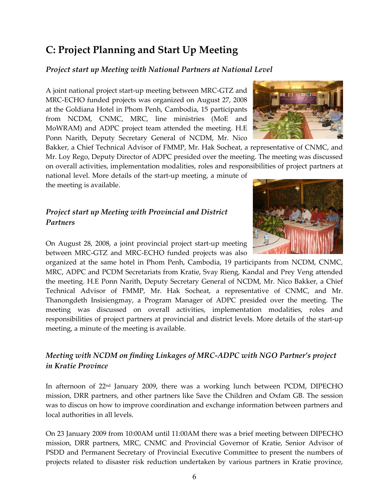## **C: Project Planning and Start Up Meeting**

#### *Project start up Meeting with National Partners at National Level*

A joint national project start‐up meeting between MRC‐GTZ and MRC‐ECHO funded projects was organized on August 27, 2008 at the Goldiana Hotel in Phom Penh, Cambodia, 15 participants from NCDM, CNMC, MRC, line ministries (MoE and MoWRAM) and ADPC project team attended the meeting. H.E Ponn Narith, Deputy Secretary General of NCDM, Mr. Nico

Bakker, a Chief Technical Advisor of FMMP, Mr. Hak Socheat, a representative of CNMC, and Mr. Loy Rego, Deputy Director of ADPC presided over the meeting. The meeting was discussed on overall activities, implementation modalities, roles and responsibilities of project partners at national level. More details of the start‐up meeting, a minute of

the meeting is available.

## *Project start up Meeting with Provincial and District Partners*

On August 28, 2008, a joint provincial project start‐up meeting between MRC‐GTZ and MRC‐ECHO funded projects was also

organized at the same hotel in Phom Penh, Cambodia, 19 participants from NCDM, CNMC, MRC, ADPC and PCDM Secretariats from Kratie, Svay Rieng, Kandal and Prey Veng attended the meeting. H.E Ponn Narith, Deputy Secretary General of NCDM, Mr. Nico Bakker, a Chief Technical Advisor of FMMP, Mr. Hak Socheat, a representative of CNMC, and Mr. Thanongdeth Insisiengmay, a Program Manager of ADPC presided over the meeting. The meeting was discussed on overall activities, implementation modalities, roles and responsibilities of project partners at provincial and district levels. More details of the start‐up meeting, a minute of the meeting is available.

## *Meeting with NCDM on finding Linkages of MRC‐ADPC with NGO Partner's project in Kratie Province*

In afternoon of 22nd January 2009, there was a working lunch between PCDM, DIPECHO mission, DRR partners, and other partners like Save the Children and Oxfam GB. The session was to discus on how to improve coordination and exchange information between partners and local authorities in all levels.

On 23 January 2009 from 10:00AM until 11:00AM there was a brief meeting between DIPECHO mission, DRR partners, MRC, CNMC and Provincial Governor of Kratie, Senior Advisor of PSDD and Permanent Secretary of Provincial Executive Committee to present the numbers of projects related to disaster risk reduction undertaken by various partners in Kratie province,



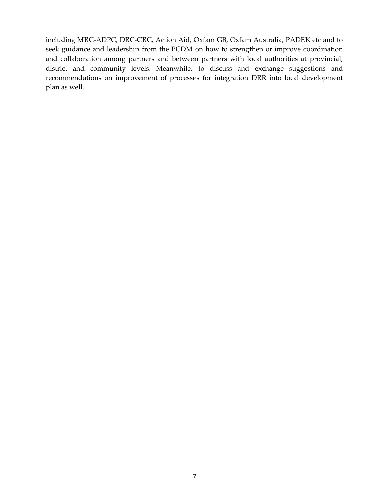including MRC‐ADPC, DRC‐CRC, Action Aid, Oxfam GB, Oxfam Australia, PADEK etc and to seek guidance and leadership from the PCDM on how to strengthen or improve coordination and collaboration among partners and between partners with local authorities at provincial, district and community levels. Meanwhile, to discuss and exchange suggestions and recommendations on improvement of processes for integration DRR into local development plan as well.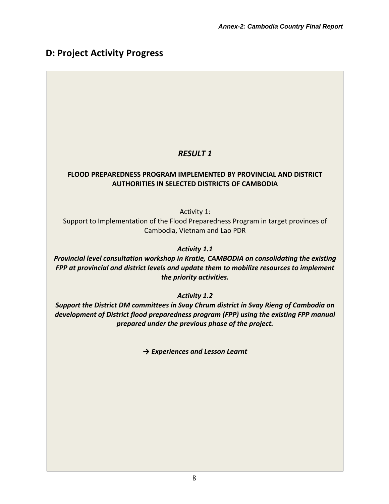## **D: Project Activity Progress**

## *RESULT 1*

#### **FLOOD PREPAREDNESS PROGRAM IMPLEMENTED BY PROVINCIAL AND DISTRICT AUTHORITIES IN SELECTED DISTRICTS OF CAMBODIA**

Activity 1:

Support to Implementation of the Flood Preparedness Program in target provinces of Cambodia, Vietnam and Lao PDR

*Activity 1.1*

*Provincial level consultation workshop in Kratie, CAMBODIA on consolidating the existing FPP at provincial and district levels and update them to mobilize resources to implement the priority activities.*

*Activity 1.2*

*Support the District DM committees in Svay Chrum district in Svay Rieng of Cambodia on development of District flood preparedness program (FPP) using the existing FPP manual prepared under the previous phase of the project.*

*→ Experiences and Lesson Learnt*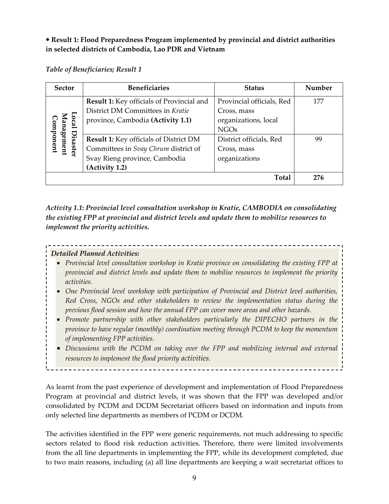## **Result 1: Flood Preparedness Program implemented by provincial and district authorities in selected districts of Cambodia, Lao PDR and Vietnam**

#### *Table of Beneficiaries; Result 1*

| <b>Sector</b>                     | <b>Beneficiaries</b>                             | <b>Status</b>             | Number |
|-----------------------------------|--------------------------------------------------|---------------------------|--------|
|                                   | <b>Result 1:</b> Key officials of Provincial and | Provincial officials, Red | 177    |
|                                   | District DM Committees in Kratie                 | Cross, mass               |        |
| <b>cal</b>                        | province, Cambodia (Activity 1.1)                | organizations, local      |        |
|                                   |                                                  | <b>NGOs</b>               |        |
| anagement<br>omponent<br>Disaster | <b>Result 1:</b> Key officials of District DM    | District officials, Red   | 99     |
|                                   | Committees in Svay Chrum district of             | Cross, mass               |        |
|                                   | Svay Rieng province, Cambodia                    | organizations             |        |
|                                   | (Activity 1.2)                                   |                           |        |
|                                   |                                                  | <b>Total</b>              | 276    |

*Activity 1.1***:** *Provincial level consultation workshop in Kratie, CAMBODIA on consolidating the existing FPP at provincial and district levels and update them to mobilize resources to implement the priority activities.*

#### *Detailed Planned Activities:*

- *Provincial level consultation workshop in Kratie province on consolidating the existing FPP at provincial and district levels and update them to mobilise resources to implement the priority activities.*
- *One Provincial level workshop with participation of Provincial and District level authorities, Red Cross, NGOs and other stakeholders to review the implementation status during the previous flood session and how the annual FPP can cover more areas and other hazards.*
- *Promote partnership with other stakeholders particularly the DIPECHO partners in the province to have regular (monthly) coordination meeting through PCDM to keep the momentum of implementing FPP activities.*
- *Discussions with the PCDM on taking over the FPP and mobilizing internal and external resources to implement the flood priority activities.*

As learnt from the past experience of development and implementation of Flood Preparedness Program at provincial and district levels, it was shown that the FPP was developed and/or consolidated by PCDM and DCDM Secretariat officers based on information and inputs from only selected line departments as members of PCDM or DCDM.

The activities identified in the FPP were generic requirements, not much addressing to specific sectors related to flood risk reduction activities. Therefore, there were limited involvements from the all line departments in implementing the FPP, while its development completed, due to two main reasons, including (a) all line departments are keeping a wait secretariat offices to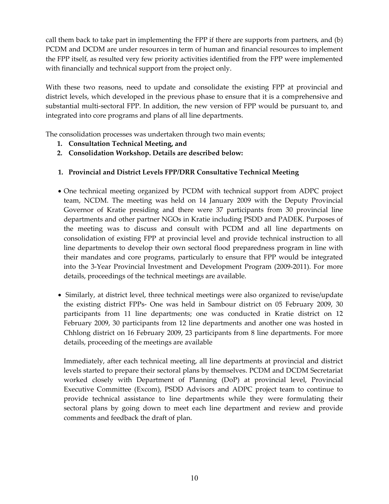call them back to take part in implementing the FPP if there are supports from partners, and (b) PCDM and DCDM are under resources in term of human and financial resources to implement the FPP itself, as resulted very few priority activities identified from the FPP were implemented with financially and technical support from the project only.

With these two reasons, need to update and consolidate the existing FPP at provincial and district levels, which developed in the previous phase to ensure that it is a comprehensive and substantial multi-sectoral FPP. In addition, the new version of FPP would be pursuant to, and integrated into core programs and plans of all line departments.

The consolidation processes was undertaken through two main events;

- **1. Consultation Technical Meeting, and**
- **2. Consolidation Workshop. Details are described below:**

## **1. Provincial and District Levels FPP/DRR Consultative Technical Meeting**

- One technical meeting organized by PCDM with technical support from ADPC project team, NCDM. The meeting was held on 14 January 2009 with the Deputy Provincial Governor of Kratie presiding and there were 37 participants from 30 provincial line departments and other partner NGOs in Kratie including PSDD and PADEK. Purposes of the meeting was to discuss and consult with PCDM and all line departments on consolidation of existing FPP at provincial level and provide technical instruction to all line departments to develop their own sectoral flood preparedness program in line with their mandates and core programs, particularly to ensure that FPP would be integrated into the 3‐Year Provincial Investment and Development Program (2009‐2011). For more details, proceedings of the technical meetings are available.
- Similarly, at district level, three technical meetings were also organized to revise/update the existing district FPPs‐ One was held in Sambour district on 05 February 2009, 30 participants from 11 line departments; one was conducted in Kratie district on 12 February 2009, 30 participants from 12 line departments and another one was hosted in Chhlong district on 16 February 2009, 23 participants from 8 line departments. For more details, proceeding of the meetings are available

Immediately, after each technical meeting, all line departments at provincial and district levels started to prepare their sectoral plans by themselves. PCDM and DCDM Secretariat worked closely with Department of Planning (DoP) at provincial level, Provincial Executive Committee (Excom), PSDD Advisors and ADPC project team to continue to provide technical assistance to line departments while they were formulating their sectoral plans by going down to meet each line department and review and provide comments and feedback the draft of plan.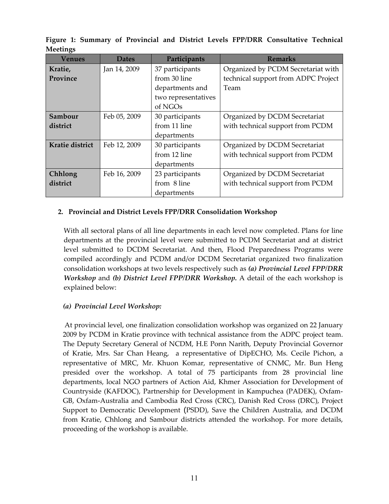| Venues          | <b>Dates</b> | Participants        | <b>Remarks</b>                      |
|-----------------|--------------|---------------------|-------------------------------------|
| Kratie,         | Jan 14, 2009 | 37 participants     | Organized by PCDM Secretariat with  |
| Province        |              | from 30 line        | technical support from ADPC Project |
|                 |              | departments and     | Team                                |
|                 |              | two representatives |                                     |
|                 |              | of NGOs             |                                     |
| Sambour         | Feb 05, 2009 | 30 participants     | Organized by DCDM Secretariat       |
| district        |              | from 11 line        | with technical support from PCDM    |
|                 |              | departments         |                                     |
| Kratie district | Feb 12, 2009 | 30 participants     | Organized by DCDM Secretariat       |
|                 |              | from 12 line        | with technical support from PCDM    |
|                 |              | departments         |                                     |
| Chhlong         | Feb 16, 2009 | 23 participants     | Organized by DCDM Secretariat       |
| district        |              | from 8 line         | with technical support from PCDM    |
|                 |              | departments         |                                     |

**Figure 1: Summary of Provincial and District Levels FPP/DRR Consultative Technical Meetings**

#### **2. Provincial and District Levels FPP/DRR Consolidation Workshop**

With all sectoral plans of all line departments in each level now completed. Plans for line departments at the provincial level were submitted to PCDM Secretariat and at district level submitted to DCDM Secretariat. And then, Flood Preparedness Programs were compiled accordingly and PCDM and/or DCDM Secretariat organized two finalization consolidation workshops at two levels respectively such as *(a) Provincial Level FPP/DRR Workshop* and *(b) District Level FPP/DRR Workshop.* A detail of the each workshop is explained below:

#### *(a) Provincial Level Workshop:*

At provincial level, one finalization consolidation workshop was organized on 22 January 2009 by PCDM in Kratie province with technical assistance from the ADPC project team. The Deputy Secretary General of NCDM, H.E Ponn Narith, Deputy Provincial Governor of Kratie, Mrs. Sar Chan Heang, a representative of DipECHO, Ms. Cecile Pichon, a representative of MRC, Mr. Khuon Komar, representative of CNMC, Mr. Bun Heng presided over the workshop. A total of 75 participants from 28 provincial line departments, local NGO partners of Action Aid, Khmer Association for Development of Countryside (KAFDOC), Partnership for Development in Kampuchea (PADEK), Oxfam‐ GB, Oxfam‐Australia and Cambodia Red Cross (CRC), Danish Red Cross (DRC), Project Support to Democratic Development (PSDD), Save the Children Australia, and DCDM from Kratie, Chhlong and Sambour districts attended the workshop. For more details, proceeding of the workshop is available.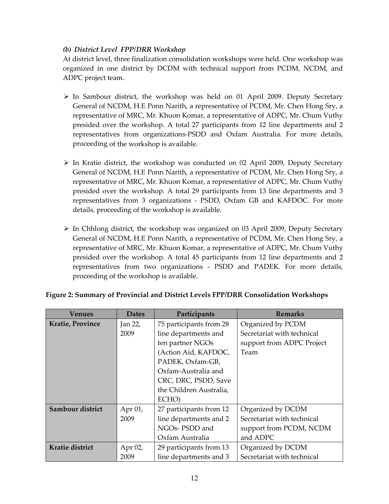#### *(b) District Level FPP/DRR Workshop*

At district level, three finalization consolidation workshops were held. One workshop was organized in one district by DCDM with technical support from PCDM, NCDM, and ADPC project team.

- $\triangleright$  In Sambour district, the workshop was held on 01 April 2009. Deputy Secretary General of NCDM, H.E Ponn Narith, a representative of PCDM, Mr. Chen Hong Sry, a representative of MRC, Mr. Khuon Komar, a representative of ADPC, Mr. Chum Vuthy presided over the workshop. A total 27 participants from 12 line departments and 2 representatives from organizations‐PSDD and Oxfam Australia. For more details, proceeding of the workshop is available.
- $\triangleright$  In Kratie district, the workshop was conducted on 02 April 2009, Deputy Secretary General of NCDM, H.E Ponn Narith, a representative of PCDM, Mr. Chen Hong Sry, a representative of MRC, Mr. Khuon Komar, a representative of ADPC, Mr. Chum Vuthy presided over the workshop. A total 29 participants from 13 line departments and 3 representatives from 3 organizations ‐ PSDD, Oxfam GB and KAFDOC. For more details, proceeding of the workshop is available.
- $\triangleright$  In Chhlong district, the workshop was organized on 03 April 2009, Deputy Secretary General of NCDM, H.E Ponn Narith, a representative of PCDM, Mr. Chen Hong Sry, a representative of MRC, Mr. Khuon Komar, a representative of ADPC, Mr. Chum Vuthy presided over the workshop. A total 45 participants from 12 line departments and 2 representatives from two organizations ‐ PSDD and PADEK. For more details, proceeding of the workshop is available.

| Venues                  | <b>Dates</b> | Participants            | <b>Remarks</b>             |
|-------------------------|--------------|-------------------------|----------------------------|
| <b>Kratie, Province</b> | Jan 22,      | 75 participants from 28 | Organized by PCDM          |
|                         | 2009         | line departments and    | Secretariat with technical |
|                         |              | ten partner NGOs        | support from ADPC Project  |
|                         |              | (Action Aid, KAFDOC,    | Team                       |
|                         |              | PADEK, Oxfam-GB,        |                            |
|                         |              | Oxfam-Australia and     |                            |
|                         |              | CRC, DRC, PSDD, Save    |                            |
|                         |              | the Children Australia, |                            |
|                         |              | ECHO)                   |                            |
| Sambour district        | Apr 01,      | 27 participants from 12 | Organized by DCDM          |
|                         | 2009         | line departments and 2  | Secretariat with technical |
|                         |              | NGOs- PSDD and          | support from PCDM, NCDM    |
|                         |              | Oxfam Australia         | and ADPC                   |
| Kratie district         | Apr 02,      | 29 participants from 13 | Organized by DCDM          |
|                         | 2009         | line departments and 3  | Secretariat with technical |

#### **Figure 2: Summary of Provincial and District Levels FPP/DRR Consolidation Workshops**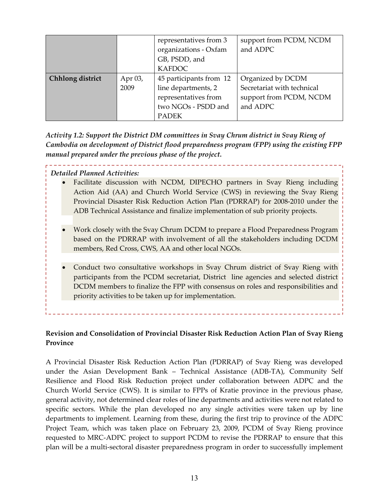|                  |         | representatives from 3<br>organizations - Oxfam<br>GB, PSDD, and<br><b>KAFDOC</b> | support from PCDM, NCDM<br>and ADPC |
|------------------|---------|-----------------------------------------------------------------------------------|-------------------------------------|
| Chhlong district | Apr 03, | 45 participants from 12                                                           | Organized by DCDM                   |
|                  | 2009    | line departments, 2                                                               | Secretariat with technical          |
|                  |         | representatives from                                                              | support from PCDM, NCDM             |
|                  |         | two NGOs - PSDD and                                                               | and ADPC                            |
|                  |         | <b>PADEK</b>                                                                      |                                     |

*Activity 1.2: Support the District DM committees in Svay Chrum district in Svay Rieng of Cambodia on development of District flood preparedness program (FPP) using the existing FPP manual prepared under the previous phase of the project.* 

#### *Detailed Planned Activities:*

- Facilitate discussion with NCDM, DIPECHO partners in Svay Rieng including Action Aid (AA) and Church World Service (CWS) in reviewing the Svay Rieng Provincial Disaster Risk Reduction Action Plan (PDRRAP) for 2008‐2010 under the ADB Technical Assistance and finalize implementation of sub priority projects.
- Work closely with the Svay Chrum DCDM to prepare a Flood Preparedness Program based on the PDRRAP with involvement of all the stakeholders including DCDM members, Red Cross, CWS, AA and other local NGOs.
- Conduct two consultative workshops in Svay Chrum district of Svay Rieng with participants from the PCDM secretariat, District line agencies and selected district DCDM members to finalize the FPP with consensus on roles and responsibilities and priority activities to be taken up for implementation.

**Revision and Consolidation of Provincial Disaster Risk Reduction Action Plan of Svay Rieng Province**

A Provincial Disaster Risk Reduction Action Plan (PDRRAP) of Svay Rieng was developed under the Asian Development Bank – Technical Assistance (ADB‐TA), Community Self Resilience and Flood Risk Reduction project under collaboration between ADPC and the Church World Service (CWS). It is similar to FPPs of Kratie province in the previous phase, general activity, not determined clear roles of line departments and activities were not related to specific sectors. While the plan developed no any single activities were taken up by line departments to implement. Learning from these, during the first trip to province of the ADPC Project Team, which was taken place on February 23, 2009, PCDM of Svay Rieng province requested to MRC‐ADPC project to support PCDM to revise the PDRRAP to ensure that this plan will be a multi‐sectoral disaster preparedness program in order to successfully implement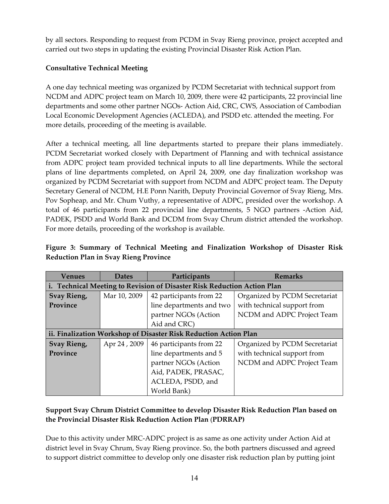by all sectors. Responding to request from PCDM in Svay Rieng province, project accepted and carried out two steps in updating the existing Provincial Disaster Risk Action Plan.

## **Consultative Technical Meeting**

A one day technical meeting was organized by PCDM Secretariat with technical support from NCDM and ADPC project team on March 10, 2009, there were 42 participants, 22 provincial line departments and some other partner NGOs‐ Action Aid, CRC, CWS, Association of Cambodian Local Economic Development Agencies (ACLEDA), and PSDD etc. attended the meeting. For more details, proceeding of the meeting is available.

After a technical meeting, all line departments started to prepare their plans immediately. PCDM Secretariat worked closely with Department of Planning and with technical assistance from ADPC project team provided technical inputs to all line departments. While the sectoral plans of line departments completed, on April 24, 2009, one day finalization workshop was organized by PCDM Secretariat with support from NCDM and ADPC project team. The Deputy Secretary General of NCDM, H.E Ponn Narith, Deputy Provincial Governor of Svay Rieng, Mrs. Pov Sopheap, and Mr. Chum Vuthy, a representative of ADPC, presided over the workshop. A total of 46 participants from 22 provincial line departments, 5 NGO partners ‐Action Aid, PADEK, PSDD and World Bank and DCDM from Svay Chrum district attended the workshop. For more details, proceeding of the workshop is available.

| <b>Venues</b> | <b>Dates</b> | Participants                                                            | <b>Remarks</b>                |
|---------------|--------------|-------------------------------------------------------------------------|-------------------------------|
|               |              | i. Technical Meeting to Revision of Disaster Risk Reduction Action Plan |                               |
| Svay Rieng,   | Mar 10, 2009 | 42 participants from 22                                                 | Organized by PCDM Secretariat |
| Province      |              | line departments and two                                                | with technical support from   |
|               |              | partner NGOs (Action                                                    | NCDM and ADPC Project Team    |
|               |              | Aid and CRC)                                                            |                               |
|               |              | ii. Finalization Workshop of Disaster Risk Reduction Action Plan        |                               |
| Svay Rieng,   | Apr 24, 2009 | 46 participants from 22                                                 | Organized by PCDM Secretariat |
| Province      |              | line departments and 5                                                  | with technical support from   |
|               |              | partner NGOs (Action                                                    | NCDM and ADPC Project Team    |
|               |              | Aid, PADEK, PRASAC,                                                     |                               |
|               |              | ACLEDA, PSDD, and                                                       |                               |
|               |              | World Bank)                                                             |                               |

## **Figure 3: Summary of Technical Meeting and Finalization Workshop of Disaster Risk Reduction Plan in Svay Rieng Province**

## **Support Svay Chrum District Committee to develop Disaster Risk Reduction Plan based on the Provincial Disaster Risk Reduction Action Plan** (**PDRRAP)**

Due to this activity under MRC‐ADPC project is as same as one activity under Action Aid at district level in Svay Chrum, Svay Rieng province. So, the both partners discussed and agreed to support district committee to develop only one disaster risk reduction plan by putting joint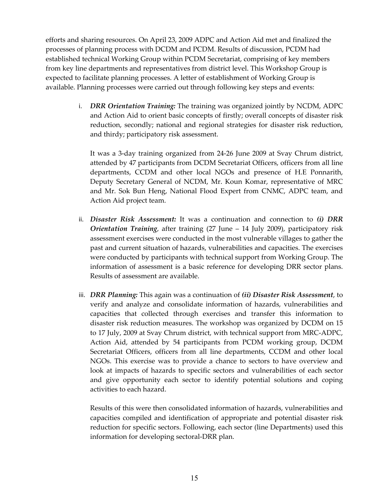efforts and sharing resources. On April 23, 2009 ADPC and Action Aid met and finalized the processes of planning process with DCDM and PCDM. Results of discussion, PCDM had established technical Working Group within PCDM Secretariat, comprising of key members from key line departments and representatives from district level. This Workshop Group is expected to facilitate planning processes. A letter of establishment of Working Group is available. Planning processes were carried out through following key steps and events:

> i. *DRR Orientation Training:* The training was organized jointly by NCDM, ADPC and Action Aid to orient basic concepts of firstly; overall concepts of disaster risk reduction, secondly; national and regional strategies for disaster risk reduction, and thirdy; participatory risk assessment.

It was a 3‐day training organized from 24‐26 June 2009 at Svay Chrum district, attended by 47 participants from DCDM Secretariat Officers, officers from all line departments, CCDM and other local NGOs and presence of H.E Ponnarith, Deputy Secretary General of NCDM, Mr. Koun Komar, representative of MRC and Mr. Sok Bun Heng, National Flood Expert from CNMC, ADPC team, and Action Aid project team.

- ii. *Disaster Risk Assessment:* It was a continuation and connection to *(i) DRR Orientation Training*, after training (27 June – 14 July 2009), participatory risk assessment exercises were conducted in the most vulnerable villages to gather the past and current situation of hazards, vulnerabilities and capacities. The exercises were conducted by participants with technical support from Working Group. The information of assessment is a basic reference for developing DRR sector plans. Results of assessment are available.
- iii. *DRR Planning:* This again was a continuation of *(ii) Disaster Risk Assessment*, to verify and analyze and consolidate information of hazards, vulnerabilities and capacities that collected through exercises and transfer this information to disaster risk reduction measures. The workshop was organized by DCDM on 15 to 17 July, 2009 at Svay Chrum district, with technical support from MRC‐ADPC, Action Aid, attended by 54 participants from PCDM working group, DCDM Secretariat Officers, officers from all line departments, CCDM and other local NGOs. This exercise was to provide a chance to sectors to have overview and look at impacts of hazards to specific sectors and vulnerabilities of each sector and give opportunity each sector to identify potential solutions and coping activities to each hazard.

Results of this were then consolidated information of hazards, vulnerabilities and capacities compiled and identification of appropriate and potential disaster risk reduction for specific sectors. Following, each sector (line Departments) used this information for developing sectoral‐DRR plan.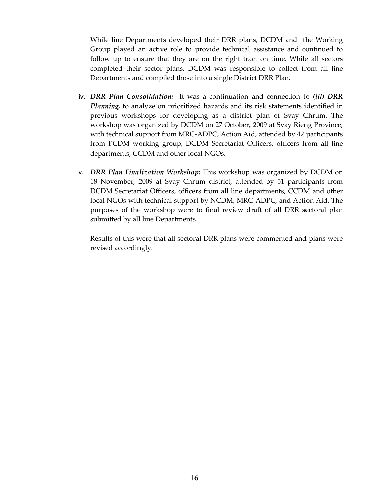While line Departments developed their DRR plans, DCDM and the Working Group played an active role to provide technical assistance and continued to follow up to ensure that they are on the right tract on time. While all sectors completed their sector plans, DCDM was responsible to collect from all line Departments and compiled those into a single District DRR Plan.

- iv. *DRR Plan Consolidation:* It was a continuation and connection to *(iii) DRR Planning,* to analyze on prioritized hazards and its risk statements identified in previous workshops for developing as a district plan of Svay Chrum. The workshop was organized by DCDM on 27 October, 2009 at Svay Rieng Province, with technical support from MRC‐ADPC, Action Aid, attended by 42 participants from PCDM working group, DCDM Secretariat Officers, officers from all line departments, CCDM and other local NGOs.
- v. *DRR Plan Finalization Workshop:* This workshop was organized by DCDM on 18 November, 2009 at Svay Chrum district, attended by 51 participants from DCDM Secretariat Officers, officers from all line departments, CCDM and other local NGOs with technical support by NCDM, MRC‐ADPC, and Action Aid. The purposes of the workshop were to final review draft of all DRR sectoral plan submitted by all line Departments.

Results of this were that all sectoral DRR plans were commented and plans were revised accordingly.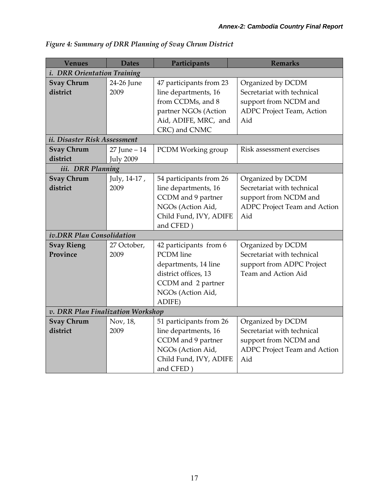| <b>Venues</b>                      | <b>Dates</b>                      | Participants                                                                                                                                    | <b>Remarks</b>                                                                                                  |  |
|------------------------------------|-----------------------------------|-------------------------------------------------------------------------------------------------------------------------------------------------|-----------------------------------------------------------------------------------------------------------------|--|
| <i>i. DRR Orientation Training</i> |                                   |                                                                                                                                                 |                                                                                                                 |  |
| <b>Svay Chrum</b><br>district      | 24-26 June<br>2009                | 47 participants from 23<br>line departments, 16<br>from CCDMs, and 8<br>partner NGOs (Action<br>Aid, ADIFE, MRC, and<br>CRC) and CNMC           | Organized by DCDM<br>Secretariat with technical<br>support from NCDM and<br>ADPC Project Team, Action<br>Aid    |  |
| ii. Disaster Risk Assessment       |                                   |                                                                                                                                                 |                                                                                                                 |  |
| <b>Svay Chrum</b><br>district      | 27 June - 14<br><b>July 2009</b>  | PCDM Working group                                                                                                                              | Risk assessment exercises                                                                                       |  |
| iii. DRR Planning                  |                                   |                                                                                                                                                 |                                                                                                                 |  |
| <b>Svay Chrum</b><br>district      | July, 14-17,<br>2009              | 54 participants from 26<br>line departments, 16<br>CCDM and 9 partner<br>NGOs (Action Aid,<br>Child Fund, IVY, ADIFE<br>and CFED)               | Organized by DCDM<br>Secretariat with technical<br>support from NCDM and<br>ADPC Project Team and Action<br>Aid |  |
| iv.DRR Plan Consolidation          |                                   |                                                                                                                                                 |                                                                                                                 |  |
| <b>Svay Rieng</b><br>Province      | 27 October,<br>2009               | 42 participants from 6<br><b>PCDM</b> line<br>departments, 14 line<br>district offices, 13<br>CCDM and 2 partner<br>NGOs (Action Aid,<br>ADIFE) | Organized by DCDM<br>Secretariat with technical<br>support from ADPC Project<br>Team and Action Aid             |  |
|                                    | v. DRR Plan Finalization Workshop |                                                                                                                                                 |                                                                                                                 |  |
| <b>Svay Chrum</b><br>district      | Nov, 18,<br>2009                  | 51 participants from 26<br>line departments, 16<br>CCDM and 9 partner<br>NGOs (Action Aid,<br>Child Fund, IVY, ADIFE<br>and CFED)               | Organized by DCDM<br>Secretariat with technical<br>support from NCDM and<br>ADPC Project Team and Action<br>Aid |  |

*Figure 4: Summary of DRR Planning of Svay Chrum District*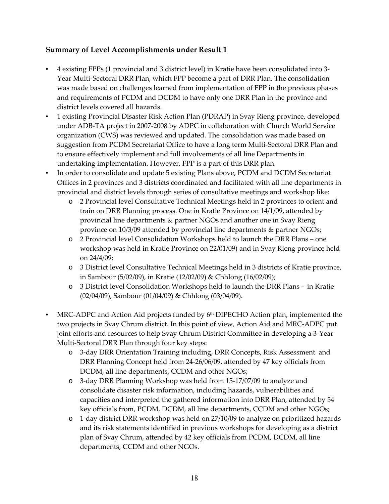## **Summary of Level Accomplishments under Result 1**

- 4 existing FPPs (1 provincial and 3 district level) in Kratie have been consolidated into 3‐ Year Multi‐Sectoral DRR Plan, which FPP become a part of DRR Plan. The consolidation was made based on challenges learned from implementation of FPP in the previous phases and requirements of PCDM and DCDM to have only one DRR Plan in the province and district levels covered all hazards.
- 1 existing Provincial Disaster Risk Action Plan (PDRAP) in Svay Rieng province, developed under ADB‐TA project in 2007‐2008 by ADPC in collaboration with Church World Service organization (CWS) was reviewed and updated. The consolidation was made based on suggestion from PCDM Secretariat Office to have a long term Multi‐Sectoral DRR Plan and to ensure effectively implement and full involvements of all line Departments in undertaking implementation. However, FPP is a part of this DRR plan.
- In order to consolidate and update 5 existing Plans above, PCDM and DCDM Secretariat Offices in 2 provinces and 3 districts coordinated and facilitated with all line departments in provincial and district levels through series of consultative meetings and workshop like:
	- o 2 Provincial level Consultative Technical Meetings held in 2 provinces to orient and train on DRR Planning process. One in Kratie Province on 14/1/09, attended by provincial line departments & partner NGOs and another one in Svay Rieng province on 10/3/09 attended by provincial line departments & partner NGOs;
	- o 2 Provincial level Consolidation Workshops held to launch the DRR Plans one workshop was held in Kratie Province on 22/01/09) and in Svay Rieng province held on 24/4/09;
	- o 3 District level Consultative Technical Meetings held in 3 districts of Kratie province, in Sambour (5/02/09), in Kratie (12/02/09) & Chhlong (16/02/09);
	- o 3 District level Consolidation Workshops held to launch the DRR Plans ‐ in Kratie (02/04/09), Sambour (01/04/09) & Chhlong (03/04/09).
- MRC-ADPC and Action Aid projects funded by 6<sup>th</sup> DIPECHO Action plan, implemented the two projects in Svay Chrum district. In this point of view, Action Aid and MRC‐ADPC put joint efforts and resources to help Svay Chrum District Committee in developing a 3‐Year Multi‐Sectoral DRR Plan through four key steps:
	- o 3‐day DRR Orientation Training including, DRR Concepts, Risk Assessment and DRR Planning Concept held from 24‐26/06/09, attended by 47 key officials from DCDM, all line departments, CCDM and other NGOs;
	- o 3‐day DRR Planning Workshop was held from 15‐17/07/09 to analyze and consolidate disaster risk information, including hazards, vulnerabilities and capacities and interpreted the gathered information into DRR Plan, attended by 54 key officials from, PCDM, DCDM, all line departments, CCDM and other NGOs;
	- o 1‐day district DRR workshop was held on 27/10/09 to analyze on prioritized hazards and its risk statements identified in previous workshops for developing as a district plan of Svay Chrum, attended by 42 key officials from PCDM, DCDM, all line departments, CCDM and other NGOs.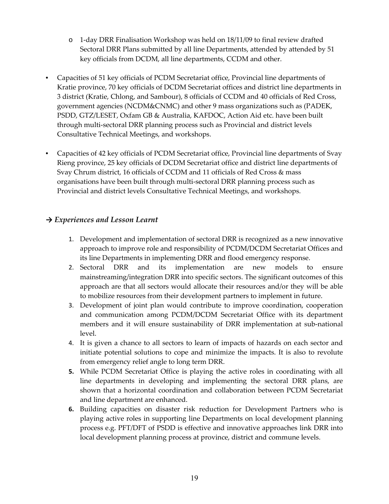- o 1‐day DRR Finalisation Workshop was held on 18/11/09 to final review drafted Sectoral DRR Plans submitted by all line Departments, attended by attended by 51 key officials from DCDM, all line departments, CCDM and other.
- Capacities of 51 key officials of PCDM Secretariat office, Provincial line departments of Kratie province, 70 key officials of DCDM Secretariat offices and district line departments in 3 district (Kratie, Chlong, and Sambour), 8 officials of CCDM and 40 officials of Red Cross, government agencies (NCDM&CNMC) and other 9 mass organizations such as (PADEK, PSDD, GTZ/LESET, Oxfam GB & Australia, KAFDOC, Action Aid etc. have been built through multi‐sectoral DRR planning process such as Provincial and district levels Consultative Technical Meetings, and workshops.
- Capacities of 42 key officials of PCDM Secretariat office, Provincial line departments of Svay Rieng province, 25 key officials of DCDM Secretariat office and district line departments of Svay Chrum district, 16 officials of CCDM and 11 officials of Red Cross & mass organisations have been built through multi‐sectoral DRR planning process such as Provincial and district levels Consultative Technical Meetings, and workshops.

## *→ Experiences and Lesson Learnt*

- 1. Development and implementation of sectoral DRR is recognized as a new innovative approach to improve role and responsibility of PCDM/DCDM Secretariat Offices and its line Departments in implementing DRR and flood emergency response.
- 2. Sectoral DRR and its implementation are new models to ensure mainstreaming/integration DRR into specific sectors. The significant outcomes of this approach are that all sectors would allocate their resources and/or they will be able to mobilize resources from their development partners to implement in future.
- 3. Development of joint plan would contribute to improve coordination, cooperation and communication among PCDM/DCDM Secretariat Office with its department members and it will ensure sustainability of DRR implementation at sub-national level.
- 4. It is given a chance to all sectors to learn of impacts of hazards on each sector and initiate potential solutions to cope and minimize the impacts. It is also to revolute from emergency relief angle to long term DRR.
- **5.** While PCDM Secretariat Office is playing the active roles in coordinating with all line departments in developing and implementing the sectoral DRR plans, are shown that a horizontal coordination and collaboration between PCDM Secretariat and line department are enhanced.
- **6.** Building capacities on disaster risk reduction for Development Partners who is playing active roles in supporting line Departments on local development planning process e.g. PFT/DFT of PSDD is effective and innovative approaches link DRR into local development planning process at province, district and commune levels.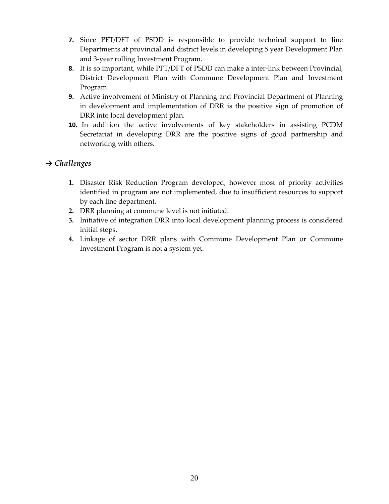- **7.** Since PFT/DFT of PSDD is responsible to provide technical support to line Departments at provincial and district levels in developing 5 year Development Plan and 3‐year rolling Investment Program.
- **8.** It is so important, while PFT/DFT of PSDD can make a inter-link between Provincial, District Development Plan with Commune Development Plan and Investment Program.
- **9.** Active involvement of Ministry of Planning and Provincial Department of Planning in development and implementation of DRR is the positive sign of promotion of DRR into local development plan.
- **10.** In addition the active involvements of key stakeholders in assisting PCDM Secretariat in developing DRR are the positive signs of good partnership and networking with others.

## *→ Challenges*

- **1.** Disaster Risk Reduction Program developed, however most of priority activities identified in program are not implemented, due to insufficient resources to support by each line department.
- **2.** DRR planning at commune level is not initiated.
- **3.** Initiative of integration DRR into local development planning process is considered initial steps.
- **4.** Linkage of sector DRR plans with Commune Development Plan or Commune Investment Program is not a system yet.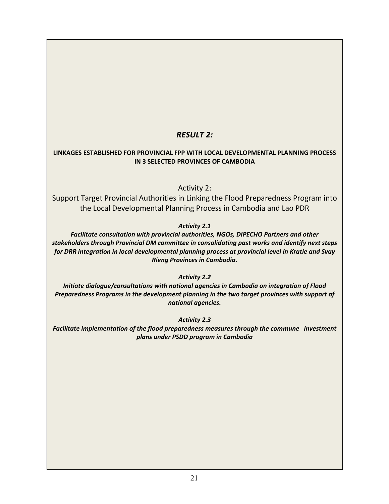## *RESULT 2:*

#### **LINKAGES ESTABLISHED FOR PROVINCIAL FPP WITH LOCAL DEVELOPMENTAL PLANNING PROCESS IN 3 SELECTED PROVINCES OF CAMBODIA**

### Activity 2:

Support Target Provincial Authorities in Linking the Flood Preparedness Program into the Local Developmental Planning Process in Cambodia and Lao PDR

#### *Activity 2.1*

*Facilitate consultation with provincial authorities, NGOs, DIPECHO Partners and other stakeholders through Provincial DM committee in consolidating past works and identify next steps for DRR integration in local developmental planning process at provincial level in Kratie and Svay Rieng Provinces in Cambodia.*

*Activity 2.2*

*Initiate dialogue/consultations with national agencies in Cambodia on integration of Flood Preparedness Programs in the development planning in the two target provinces with support of national agencies.*

*Activity 2.3*

*Facilitate implementation of the flood preparedness measures through the commune investment plans under PSDD program in Cambodia*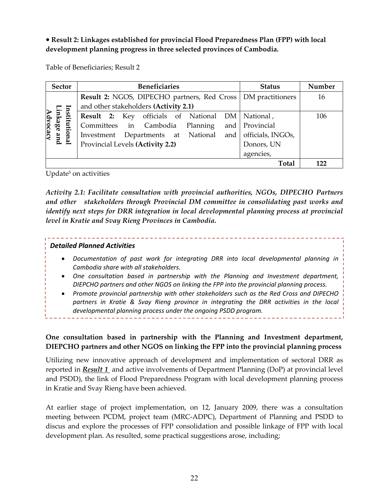**Result 2: Linkages established for provincial Flood Preparedness Plan (FPP) with local development planning progress in three selected provinces of Cambodia.**

Table of Beneficiaries; Result 2

| <b>Sector</b>                            | <b>Beneficiaries</b>                                           | <b>Status</b>     | Number |
|------------------------------------------|----------------------------------------------------------------|-------------------|--------|
|                                          | Result 2: NGOS, DIPECHO partners, Red Cross   DM practitioners |                   | 16     |
|                                          | and other stakeholders (Activity 2.1)                          |                   |        |
| Institutional<br>Linkage and<br>Advocacy | Result 2: Key officials of National DM                         | National,         | 106    |
|                                          | Committees in Cambodia Planning                                | and Provincial    |        |
|                                          | Departments at National<br>and<br>Investment                   | officials, INGOs, |        |
|                                          | Provincial Levels (Activity 2.2)                               | Donors, UN        |        |
|                                          |                                                                | agencies,         |        |
|                                          |                                                                | Total             |        |

Update<sup>5</sup> on activities

*Activity 2.1: Facilitate consultation with provincial authorities, NGOs, DIPECHO Partners and other stakeholders through Provincial DM committee in consolidating past works and identify next steps for DRR integration in local developmental planning process at provincial level in Kratie and Svay Rieng Provinces in Cambodia.*

#### *Detailed Planned Activities*

- *Documentation of past work for integrating DRR into local developmental planning in Cambodia share with all stakeholders.*
- *One consultation based in partnership with the Planning and Investment department, DIEPCHO partners and other NGOS on linking the FPP into the provincial planning process.*
- *Promote provincial partnership with other stakeholders such as the Red Cross and DIPECHO partners in Kratie & Svay Rieng province in integrating the DRR activities in the local developmental planning process under the ongoing PSDD program.*

## **One consultation based in partnership with the Planning and Investment department, DIEPCHO partners and other NGOS on linking the FPP into the provincial planning process**

Utilizing new innovative approach of development and implementation of sectoral DRR as reported in *Result 1* and active involvements of Department Planning (DoP) at provincial level and PSDD), the link of Flood Preparedness Program with local development planning process in Kratie and Svay Rieng have been achieved.

At earlier stage of project implementation, on 12, January 2009, there was a consultation meeting between PCDM, project team (MRC‐ADPC), Department of Planning and PSDD to discus and explore the processes of FPP consolidation and possible linkage of FPP with local development plan. As resulted, some practical suggestions arose, including;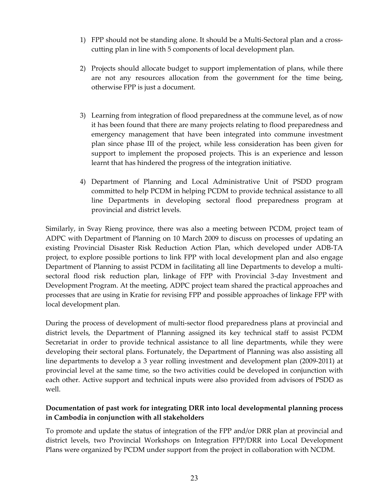- 1) FPP should not be standing alone. It should be a Multi‐Sectoral plan and a cross‐ cutting plan in line with 5 components of local development plan.
- 2) Projects should allocate budget to support implementation of plans, while there are not any resources allocation from the government for the time being, otherwise FPP is just a document.
- 3) Learning from integration of flood preparedness at the commune level, as of now it has been found that there are many projects relating to flood preparedness and emergency management that have been integrated into commune investment plan since phase III of the project, while less consideration has been given for support to implement the proposed projects. This is an experience and lesson learnt that has hindered the progress of the integration initiative.
- 4) Department of Planning and Local Administrative Unit of PSDD program committed to help PCDM in helping PCDM to provide technical assistance to all line Departments in developing sectoral flood preparedness program at provincial and district levels.

Similarly, in Svay Rieng province, there was also a meeting between PCDM, project team of ADPC with Department of Planning on 10 March 2009 to discuss on processes of updating an existing Provincial Disaster Risk Reduction Action Plan, which developed under ADB‐TA project, to explore possible portions to link FPP with local development plan and also engage Department of Planning to assist PCDM in facilitating all line Departments to develop a multisectoral flood risk reduction plan, linkage of FPP with Provincial 3‐day Investment and Development Program. At the meeting, ADPC project team shared the practical approaches and processes that are using in Kratie for revising FPP and possible approaches of linkage FPP with local development plan.

During the process of development of multi-sector flood preparedness plans at provincial and district levels, the Department of Planning assigned its key technical staff to assist PCDM Secretariat in order to provide technical assistance to all line departments, while they were developing their sectoral plans. Fortunately, the Department of Planning was also assisting all line departments to develop a 3 year rolling investment and development plan (2009‐2011) at provincial level at the same time, so the two activities could be developed in conjunction with each other. Active support and technical inputs were also provided from advisors of PSDD as well.

## **Documentation of past work for integrating DRR into local developmental planning process in Cambodia in conjunction with all stakeholders**

To promote and update the status of integration of the FPP and/or DRR plan at provincial and district levels, two Provincial Workshops on Integration FPP/DRR into Local Development Plans were organized by PCDM under support from the project in collaboration with NCDM.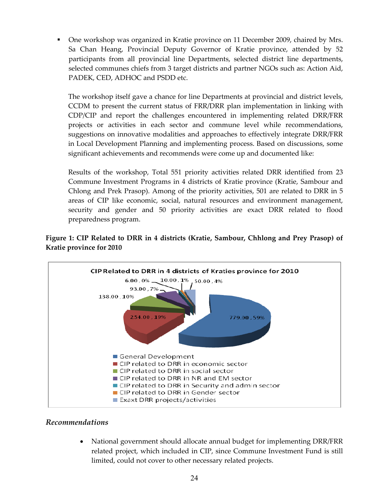One workshop was organized in Kratie province on 11 December 2009, chaired by Mrs. Sa Chan Heang, Provincial Deputy Governor of Kratie province, attended by 52 participants from all provincial line Departments, selected district line departments, selected communes chiefs from 3 target districts and partner NGOs such as: Action Aid, PADEK, CED, ADHOC and PSDD etc.

The workshop itself gave a chance for line Departments at provincial and district levels, CCDM to present the current status of FRR/DRR plan implementation in linking with CDP/CIP and report the challenges encountered in implementing related DRR/FRR projects or activities in each sector and commune level while recommendations, suggestions on innovative modalities and approaches to effectively integrate DRR/FRR in Local Development Planning and implementing process. Based on discussions, some significant achievements and recommends were come up and documented like:

Results of the workshop, Total 551 priority activities related DRR identified from 23 Commune Investment Programs in 4 districts of Kratie province (Kratie, Sambour and Chlong and Prek Prasop). Among of the priority activities, 501 are related to DRR in 5 areas of CIP like economic, social, natural resources and environment management, security and gender and 50 priority activities are exact DRR related to flood preparedness program.

## **Figure 1: CIP Related to DRR in 4 districts (Kratie, Sambour, Chhlong and Prey Prasop) of Kratie province for 2010**



### *Recommendations*

 National government should allocate annual budget for implementing DRR/FRR related project, which included in CIP, since Commune Investment Fund is still limited, could not cover to other necessary related projects.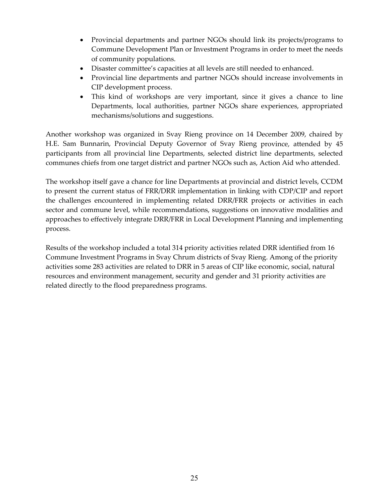- Provincial departments and partner NGOs should link its projects/programs to Commune Development Plan or Investment Programs in order to meet the needs of community populations.
- Disaster committee's capacities at all levels are still needed to enhanced.
- Provincial line departments and partner NGOs should increase involvements in CIP development process.
- This kind of workshops are very important, since it gives a chance to line Departments, local authorities, partner NGOs share experiences, appropriated mechanisms/solutions and suggestions.

Another workshop was organized in Svay Rieng province on 14 December 2009, chaired by H.E. Sam Bunnarin, Provincial Deputy Governor of Svay Rieng province, attended by 45 participants from all provincial line Departments, selected district line departments, selected communes chiefs from one target district and partner NGOs such as, Action Aid who attended.

The workshop itself gave a chance for line Departments at provincial and district levels, CCDM to present the current status of FRR/DRR implementation in linking with CDP/CIP and report the challenges encountered in implementing related DRR/FRR projects or activities in each sector and commune level, while recommendations, suggestions on innovative modalities and approaches to effectively integrate DRR/FRR in Local Development Planning and implementing process.

Results of the workshop included a total 314 priority activities related DRR identified from 16 Commune Investment Programs in Svay Chrum districts of Svay Rieng. Among of the priority activities some 283 activities are related to DRR in 5 areas of CIP like economic, social, natural resources and environment management, security and gender and 31 priority activities are related directly to the flood preparedness programs.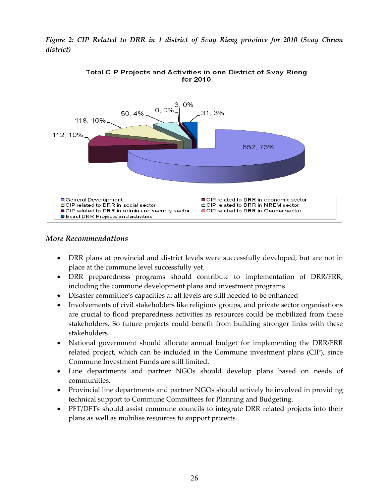

*Figure 2: CIP Related to DRR in 1 district of Svay Rieng province for 2010 (Svay Chrum district)*

#### *More Recommendations*

- DRR plans at provincial and district levels were successfully developed, but are not in place at the commune level successfully yet.
- DRR preparedness programs should contribute to implementation of DRR/FRR, including the commune development plans and investment programs.
- Disaster committee's capacities at all levels are still needed to be enhanced
- Involvements of civil stakeholders like religious groups, and private sector organisations are crucial to flood preparedness activities as resources could be mobilized from these stakeholders. So future projects could benefit from building stronger links with these stakeholders.
- National government should allocate annual budget for implementing the DRR/FRR related project, which can be included in the Commune investment plans (CIP), since Commune Investment Funds are still limited.
- Line departments and partner NGOs should develop plans based on needs of communities.
- Provincial line departments and partner NGOs should actively be involved in providing technical support to Commune Committees for Planning and Budgeting.
- PFT/DFTs should assist commune councils to integrate DRR related projects into their plans as well as mobilise resources to support projects.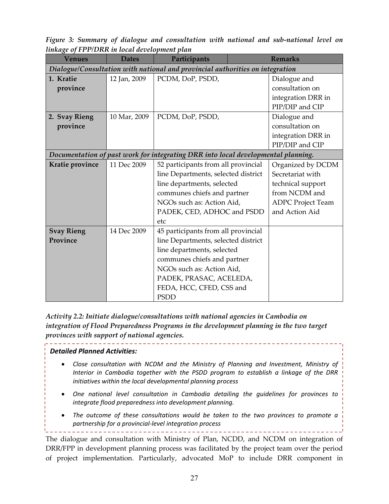*Figure 3: Summary of dialogue and consultation with national and sub‐national level on linkage of FPP/DRR in local development plan*

| Venues            | <i>.</i><br><b>Dates</b> | Participants                                                                      | <b>Remarks</b>           |
|-------------------|--------------------------|-----------------------------------------------------------------------------------|--------------------------|
|                   |                          | Dialogue/Consultation with national and provincial authorities on integration     |                          |
| 1. Kratie         | 12 Jan, 2009             | PCDM, DoP, PSDD,                                                                  | Dialogue and             |
| province          |                          |                                                                                   | consultation on          |
|                   |                          |                                                                                   | integration DRR in       |
|                   |                          |                                                                                   | PIP/DIP and CIP          |
| 2. Svay Rieng     | 10 Mar, 2009             | PCDM, DoP, PSDD,                                                                  | Dialogue and             |
| province          |                          |                                                                                   | consultation on          |
|                   |                          |                                                                                   | integration DRR in       |
|                   |                          |                                                                                   | PIP/DIP and CIP          |
|                   |                          | Documentation of past work for integrating DRR into local developmental planning. |                          |
| Kratie province   | 11 Dec 2009              | 52 participants from all provincial                                               | Organized by DCDM        |
|                   |                          | line Departments, selected district                                               | Secretariat with         |
|                   |                          | line departments, selected                                                        | technical support        |
|                   |                          | communes chiefs and partner                                                       | from NCDM and            |
|                   |                          | NGOs such as: Action Aid,                                                         | <b>ADPC Project Team</b> |
|                   |                          | PADEK, CED, ADHOC and PSDD                                                        | and Action Aid           |
|                   |                          | etc                                                                               |                          |
| <b>Svay Rieng</b> | 14 Dec 2009              | 45 participants from all provincial                                               |                          |
| Province          |                          | line Departments, selected district                                               |                          |
|                   |                          | line departments, selected                                                        |                          |
|                   |                          | communes chiefs and partner                                                       |                          |
|                   |                          | NGOs such as: Action Aid,                                                         |                          |
|                   |                          | PADEK, PRASAC, ACELEDA,                                                           |                          |
|                   |                          | FEDA, HCC, CFED, CSS and                                                          |                          |
|                   |                          | <b>PSDD</b>                                                                       |                          |

*Activity 2.2: Initiate dialogue/consultations with national agencies in Cambodia on integration of Flood Preparedness Programs in the development planning in the two target provinces with support of national agencies.* 

#### *Detailed Planned Activities:*

 *Close consultation with NCDM and the Ministry of Planning and Investment, Ministry of Interior in Cambodia together with the PSDD program to establish a linkage of the DRR initiatives within the local developmental planning process*

- *One national level consultation in Cambodia detailing the guidelines for provinces to integrate flood preparedness into development planning.*
- *The outcome of these consultations would be taken to the two provinces to promote a partnership for a provincial‐level integration process*

The dialogue and consultation with Ministry of Plan, NCDD, and NCDM on integration of DRR/FPP in development planning process was facilitated by the project team over the period of project implementation. Particularly, advocated MoP to include DRR component in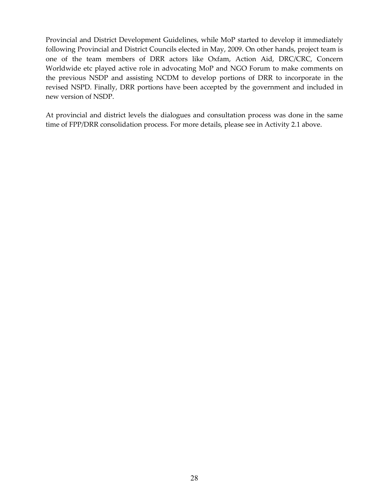Provincial and District Development Guidelines, while MoP started to develop it immediately following Provincial and District Councils elected in May, 2009. On other hands, project team is one of the team members of DRR actors like Oxfam, Action Aid, DRC/CRC, Concern Worldwide etc played active role in advocating MoP and NGO Forum to make comments on the previous NSDP and assisting NCDM to develop portions of DRR to incorporate in the revised NSPD. Finally, DRR portions have been accepted by the government and included in new version of NSDP.

At provincial and district levels the dialogues and consultation process was done in the same time of FPP/DRR consolidation process. For more details, please see in Activity 2.1 above.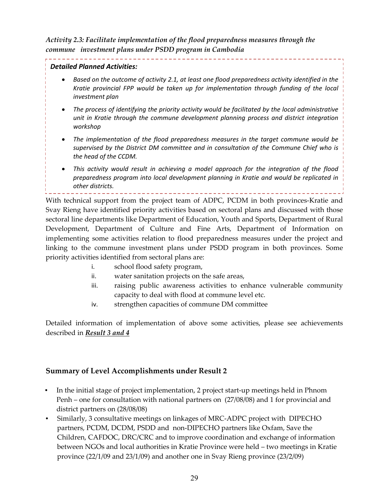*Activity 2.3: Facilitate implementation of the flood preparedness measures through the commune investment plans under PSDD program in Cambodia*

### *Detailed Planned Activities:*

 *Based on the outcome of activity 2.1, at least one flood preparedness activity identified in the Kratie provincial FPP would be taken up for implementation through funding of the local investment plan*

- *The process of identifying the priority activity would be facilitated by the local administrative unit in Kratie through the commune development planning process and district integration workshop*
- *The implementation of the flood preparedness measures in the target commune would be supervised by the District DM committee and in consultation of the Commune Chief who is the head of the CCDM.*
- *This activity would result in achieving a model approach for the integration of the flood preparedness program into local development planning in Kratie and would be replicated in other districts.*

With technical support from the project team of ADPC, PCDM in both provinces-Kratie and Svay Rieng have identified priority activities based on sectoral plans and discussed with those sectoral line departments like Department of Education, Youth and Sports, Department of Rural Development, Department of Culture and Fine Arts, Department of Information on implementing some activities relation to flood preparedness measures under the project and linking to the commune investment plans under PSDD program in both provinces. Some priority activities identified from sectoral plans are:

- i. school flood safety program,
- ii. water sanitation projects on the safe areas,
- iii. raising public awareness activities to enhance vulnerable community capacity to deal with flood at commune level etc.
- iv. strengthen capacities of commune DM committee

Detailed information of implementation of above some activities, please see achievements described in *Result 3 and 4*

## **Summary of Level Accomplishments under Result 2**

- In the initial stage of project implementation, 2 project start-up meetings held in Phnom Penh – one for consultation with national partners on (27/08/08) and 1 for provincial and district partners on (28/08/08)
- Similarly, 3 consultative meetings on linkages of MRC-ADPC project with DIPECHO partners, PCDM, DCDM, PSDD and non‐DIPECHO partners like Oxfam, Save the Children, CAFDOC, DRC/CRC and to improve coordination and exchange of information between NGOs and local authorities in Kratie Province were held – two meetings in Kratie province (22/1/09 and 23/1/09) and another one in Svay Rieng province (23/2/09)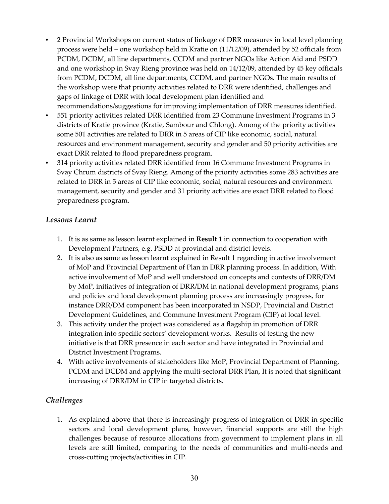- 2 Provincial Workshops on current status of linkage of DRR measures in local level planning process were held – one workshop held in Kratie on (11/12/09), attended by 52 officials from PCDM, DCDM, all line departments, CCDM and partner NGOs like Action Aid and PSDD and one workshop in Svay Rieng province was held on 14/12/09, attended by 45 key officials from PCDM, DCDM, all line departments, CCDM, and partner NGOs. The main results of the workshop were that priority activities related to DRR were identified, challenges and gaps of linkage of DRR with local development plan identified and
- recommendations/suggestions for improving implementation of DRR measures identified. • 551 priority activities related DRR identified from 23 Commune Investment Programs in 3 districts of Kratie province (Kratie, Sambour and Chlong). Among of the priority activities some 501 activities are related to DRR in 5 areas of CIP like economic, social, natural resources and environment management, security and gender and 50 priority activities are exact DRR related to flood preparedness program.
- 314 priority activities related DRR identified from 16 Commune Investment Programs in Svay Chrum districts of Svay Rieng. Among of the priority activities some 283 activities are related to DRR in 5 areas of CIP like economic, social, natural resources and environment management, security and gender and 31 priority activities are exact DRR related to flood preparedness program.

## *Lessons Learnt*

- 1. It is as same as lesson learnt explained in **Result 1** in connection to cooperation with Development Partners, e.g. PSDD at provincial and district levels.
- 2. It is also as same as lesson learnt explained in Result 1 regarding in active involvement of MoP and Provincial Department of Plan in DRR planning process. In addition, With active involvement of MoP and well understood on concepts and contexts of DRR/DM by MoP, initiatives of integration of DRR/DM in national development programs, plans and policies and local development planning process are increasingly progress, for instance DRR/DM component has been incorporated in NSDP, Provincial and District Development Guidelines, and Commune Investment Program (CIP) at local level.
- 3. This activity under the project was considered as a flagship in promotion of DRR integration into specific sectors' development works. Results of testing the new initiative is that DRR presence in each sector and have integrated in Provincial and District Investment Programs.
- 4. With active involvements of stakeholders like MoP, Provincial Department of Planning, PCDM and DCDM and applying the multi‐sectoral DRR Plan, It is noted that significant increasing of DRR/DM in CIP in targeted districts.

## *Challenges*

1. As explained above that there is increasingly progress of integration of DRR in specific sectors and local development plans, however, financial supports are still the high challenges because of resource allocations from government to implement plans in all levels are still limited, comparing to the needs of communities and multi‐needs and cross‐cutting projects/activities in CIP.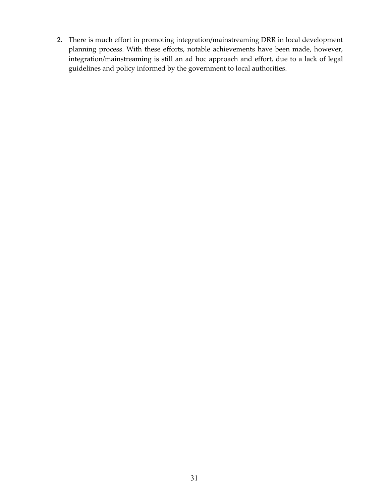2. There is much effort in promoting integration/mainstreaming DRR in local development planning process. With these efforts, notable achievements have been made, however, integration/mainstreaming is still an ad hoc approach and effort, due to a lack of legal guidelines and policy informed by the government to local authorities.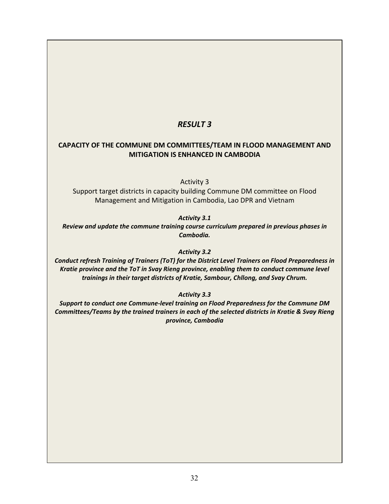## *RESULT 3*

## **CAPACITY OF THE COMMUNE DM COMMITTEES/TEAM IN FLOOD MANAGEMENT AND MITIGATION IS ENHANCED IN CAMBODIA**

Activity 3

Support target districts in capacity building Commune DM committee on Flood Management and Mitigation in Cambodia, Lao DPR and Vietnam

*Activity 3.1*

*Review and update the commune training course curriculum prepared in previous phases in Cambodia.*

*Activity 3.2*

*Conduct refresh Training of Trainers (ToT) for the District Level Trainers on Flood Preparedness in Kratie province and the ToT in Svay Rieng province, enabling them to conduct commune level trainings in their target districts of Kratie, Sambour, Chllong, and Svay Chrum.*

*Activity 3.3*

*Support to conduct one Commune‐level training on Flood Preparedness for the Commune DM Committees/Teams by the trained trainers in each of the selected districts in Kratie & Svay Rieng province, Cambodia*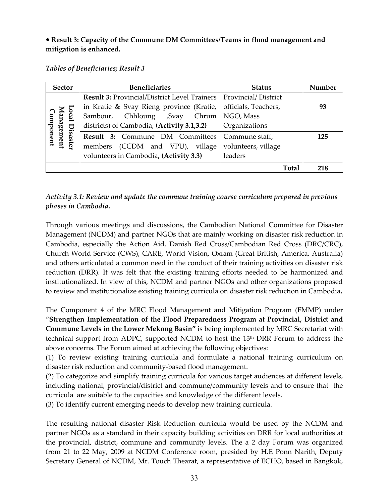## **Result 3: Capacity of the Commune DM Committees/Teams in flood management and mitigation is enhanced.**

#### *Tables of Beneficiaries; Result 3*

| <b>Sector</b>                             | <b>Beneficiaries</b>                                | <b>Status</b>              | Number |
|-------------------------------------------|-----------------------------------------------------|----------------------------|--------|
|                                           | <b>Result 3: Provincial/District Level Trainers</b> | <b>Provincial/District</b> |        |
|                                           | in Kratie & Svay Rieng province (Kratie,            | officials, Teachers,       | 93     |
|                                           | Sambour, Chhloung ,Svay Chrum                       | NGO, Mass                  |        |
| Local Disaster<br>Management<br>Component | districts) of Cambodia, (Activity 3.1,3.2)          | Organizations              |        |
| Disaster                                  | Result 3: Commune DM Committees                     | Commune staff,             | 125    |
|                                           | members (CCDM and VPU), village                     | volunteers, village        |        |
|                                           | volunteers in Cambodia, (Activity 3.3)              | leaders                    |        |
|                                           |                                                     | Total                      | 218    |

## *Activity 3.1: Review and update the commune training course curriculum prepared in previous phases in Cambodia.*

Through various meetings and discussions, the Cambodian National Committee for Disaster Management (NCDM) and partner NGOs that are mainly working on disaster risk reduction in Cambodia, especially the Action Aid, Danish Red Cross/Cambodian Red Cross (DRC/CRC), Church World Service (CWS), CARE, World Vision, Oxfam (Great British, America, Australia) and others articulated a common need in the conduct of their training activities on disaster risk reduction (DRR). It was felt that the existing training efforts needed to be harmonized and institutionalized. In view of this, NCDM and partner NGOs and other organizations proposed to review and institutionalize existing training curricula on disaster risk reduction in Cambodia**.**

The Component 4 of the MRC Flood Management and Mitigation Program (FMMP) under "**Strengthen Implementation of the Flood Preparedness Program at Provincial, District and Commune Levels in the Lower Mekong Basin"** is being implemented by MRC Secretariat with technical support from ADPC, supported NCDM to host the 13th DRR Forum to address the above concerns. The Forum aimed at achieving the following objectives:

(1) To review existing training curricula and formulate a national training curriculum on disaster risk reduction and community‐based flood management.

(2) To categorize and simplify training curricula for various target audiences at different levels, including national, provincial/district and commune/community levels and to ensure that the curricula are suitable to the capacities and knowledge of the different levels.

(3) To identify current emerging needs to develop new training curricula.

The resulting national disaster Risk Reduction curricula would be used by the NCDM and partner NGOs as a standard in their capacity building activities on DRR for local authorities at the provincial, district, commune and community levels. The a 2 day Forum was organized from 21 to 22 May, 2009 at NCDM Conference room, presided by H.E Ponn Narith, Deputy Secretary General of NCDM, Mr. Touch Thearat, a representative of ECHO, based in Bangkok,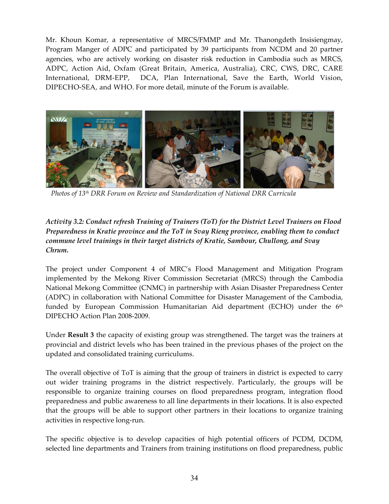Mr. Khoun Komar, a representative of MRCS/FMMP and Mr. Thanongdeth Insisiengmay, Program Manger of ADPC and participated by 39 participants from NCDM and 20 partner agencies, who are actively working on disaster risk reduction in Cambodia such as MRCS, ADPC, Action Aid, Oxfam (Great Britain, America, Australia), CRC, CWS, DRC, CARE International, DRM-EPP, DCA, Plan International, Save the Earth, World Vision, DIPECHO‐SEA, and WHO. For more detail, minute of the Forum is available.



 *Photos of 13th DRR Forum on Review and Standardization of National DRR Curricula* 

## *Activity 3.2: Conduct refresh Training of Trainers (ToT) for the District Level Trainers on Flood Preparedness in Kratie province and the ToT in Svay Rieng province, enabling them to conduct commune level trainings in their target districts of Kratie, Sambour, Chullong, and Svay Chrum.*

The project under Component 4 of MRC's Flood Management and Mitigation Program implemented by the Mekong River Commission Secretariat (MRCS) through the Cambodia National Mekong Committee (CNMC) in partnership with Asian Disaster Preparedness Center (ADPC) in collaboration with National Committee for Disaster Management of the Cambodia, funded by European Commission Humanitarian Aid department (ECHO) under the  $6<sup>th</sup>$ DIPECHO Action Plan 2008‐2009.

Under **Result 3** the capacity of existing group was strengthened. The target was the trainers at provincial and district levels who has been trained in the previous phases of the project on the updated and consolidated training curriculums.

The overall objective of ToT is aiming that the group of trainers in district is expected to carry out wider training programs in the district respectively. Particularly, the groups will be responsible to organize training courses on flood preparedness program, integration flood preparedness and public awareness to all line departments in their locations. It is also expected that the groups will be able to support other partners in their locations to organize training activities in respective long‐run.

The specific objective is to develop capacities of high potential officers of PCDM, DCDM, selected line departments and Trainers from training institutions on flood preparedness, public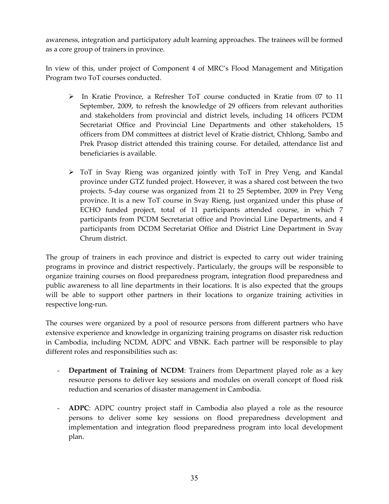awareness, integration and participatory adult learning approaches. The trainees will be formed as a core group of trainers in province.

In view of this, under project of Component 4 of MRC's Flood Management and Mitigation Program two ToT courses conducted.

- In Kratie Province, a Refresher ToT course conducted in Kratie from 07 to 11 September, 2009, to refresh the knowledge of 29 officers from relevant authorities and stakeholders from provincial and district levels, including 14 officers PCDM Secretariat Office and Provincial Line Departments and other stakeholders, 15 officers from DM committees at district level of Kratie district, Chhlong, Sambo and Prek Prasop district attended this training course. For detailed, attendance list and beneficiaries is available.
- ToT in Svay Rieng was organized jointly with ToT in Prey Veng, and Kandal province under GTZ funded project. However, it was a shared cost between the two projects. 5‐day course was organized from 21 to 25 September, 2009 in Prey Veng province. It is a new ToT course in Svay Rieng, just organized under this phase of ECHO funded project, total of 11 participants attended course, in which 7 participants from PCDM Secretariat office and Provincial Line Departments, and 4 participants from DCDM Secretariat Office and District Line Department in Svay Chrum district.

The group of trainers in each province and district is expected to carry out wider training programs in province and district respectively. Particularly, the groups will be responsible to organize training courses on flood preparedness program, integration flood preparedness and public awareness to all line departments in their locations. It is also expected that the groups will be able to support other partners in their locations to organize training activities in respective long‐run.

The courses were organized by a pool of resource persons from different partners who have extensive experience and knowledge in organizing training programs on disaster risk reduction in Cambodia, including NCDM, ADPC and VBNK. Each partner will be responsible to play different roles and responsibilities such as:

- **Department of Training of NCDM**: Trainers from Department played role as a key resource persons to deliver key sessions and modules on overall concept of flood risk reduction and scenarios of disaster management in Cambodia.
- **ADPC**: ADPC country project staff in Cambodia also played a role as the resource persons to deliver some key sessions on flood preparedness development and implementation and integration flood preparedness program into local development plan.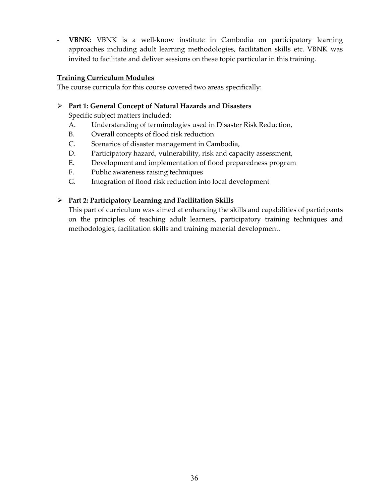**VBNK**: VBNK is a well-know institute in Cambodia on participatory learning approaches including adult learning methodologies, facilitation skills etc. VBNK was invited to facilitate and deliver sessions on these topic particular in this training.

#### **Training Curriculum Modules**

The course curricula for this course covered two areas specifically:

#### **Part 1: General Concept of Natural Hazards and Disasters**

Specific subject matters included:

- A. Understanding of terminologies used in Disaster Risk Reduction,
- B. Overall concepts of flood risk reduction
- C. Scenarios of disaster management in Cambodia,
- D. Participatory hazard, vulnerability, risk and capacity assessment,
- E. Development and implementation of flood preparedness program
- F. Public awareness raising techniques
- G. Integration of flood risk reduction into local development

#### **Part 2: Participatory Learning and Facilitation Skills**

This part of curriculum was aimed at enhancing the skills and capabilities of participants on the principles of teaching adult learners, participatory training techniques and methodologies, facilitation skills and training material development.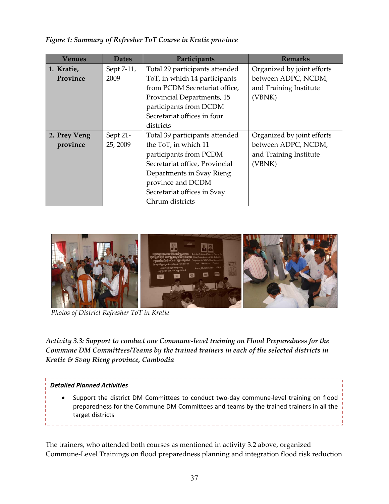| Venues       | <b>Dates</b> | Participants                   | <b>Remarks</b>             |
|--------------|--------------|--------------------------------|----------------------------|
| 1. Kratie,   | Sept 7-11,   | Total 29 participants attended | Organized by joint efforts |
| Province     | 2009         | ToT, in which 14 participants  | between ADPC, NCDM,        |
|              |              | from PCDM Secretariat office,  | and Training Institute     |
|              |              | Provincial Departments, 15     | (VBNK)                     |
|              |              | participants from DCDM         |                            |
|              |              | Secretariat offices in four    |                            |
|              |              | districts                      |                            |
| 2. Prey Veng | Sept 21-     | Total 39 participants attended | Organized by joint efforts |
| province     | 25, 2009     | the ToT, in which 11           | between ADPC, NCDM,        |
|              |              | participants from PCDM         | and Training Institute     |
|              |              | Secretariat office, Provincial | (VBNK)                     |
|              |              | Departments in Svay Rieng      |                            |
|              |              | province and DCDM              |                            |
|              |              | Secretariat offices in Svay    |                            |
|              |              | Chrum districts                |                            |

*Figure 1: Summary of Refresher ToT Course in Kratie province*



*Photos of District Refresher ToT in Kratie*

*Activity 3.3: Support to conduct one Commune‐level training on Flood Preparedness for the Commune DM Committees/Teams by the trained trainers in each of the selected districts in Kratie & Svay Rieng province, Cambodia* 

#### *Detailed Planned Activities*

● Support the district DM Committees to conduct two-day commune-level training on flood preparedness for the Commune DM Committees and teams by the trained trainers in all the target districts

The trainers, who attended both courses as mentioned in activity 3.2 above, organized Commune‐Level Trainings on flood preparedness planning and integration flood risk reduction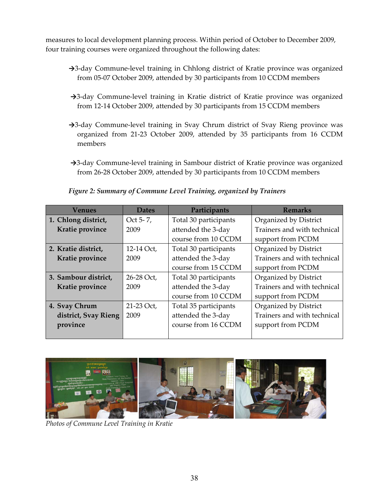measures to local development planning process. Within period of October to December 2009, four training courses were organized throughout the following dates:

- →3-day Commune-level training in Chhlong district of Kratie province was organized from 05‐07 October 2009, attended by 30 participants from 10 CCDM members
- →3-day Commune-level training in Kratie district of Kratie province was organized from 12‐14 October 2009, attended by 30 participants from 15 CCDM members
- →3-day Commune-level training in Svay Chrum district of Svay Rieng province was organized from 21‐23 October 2009, attended by 35 participants from 16 CCDM members
- →3-day Commune-level training in Sambour district of Kratie province was organized from 26‐28 October 2009, attended by 30 participants from 10 CCDM members

*Figure 2: Summary of Commune Level Training, organized by Trainers* 

| Venues               | <b>Dates</b> | Participants          | <b>Remarks</b>              |
|----------------------|--------------|-----------------------|-----------------------------|
| 1. Chlong district,  | Oct 5-7,     | Total 30 participants | Organized by District       |
| Kratie province      | 2009         | attended the 3-day    | Trainers and with technical |
|                      |              | course from 10 CCDM   | support from PCDM           |
| 2. Kratie district,  | 12-14 Oct,   | Total 30 participants | Organized by District       |
| Kratie province      | 2009         | attended the 3-day    | Trainers and with technical |
|                      |              | course from 15 CCDM   | support from PCDM           |
| 3. Sambour district, | 26-28 Oct,   | Total 30 participants | Organized by District       |
| Kratie province      | 2009         | attended the 3-day    | Trainers and with technical |
|                      |              | course from 10 CCDM   | support from PCDM           |
| 4. Svay Chrum        | 21-23 Oct,   | Total 35 participants | Organized by District       |
| district, Svay Rieng | 2009         | attended the 3-day    | Trainers and with technical |
| province             |              | course from 16 CCDM   | support from PCDM           |
|                      |              |                       |                             |



*Photos of Commune Level Training in Kratie*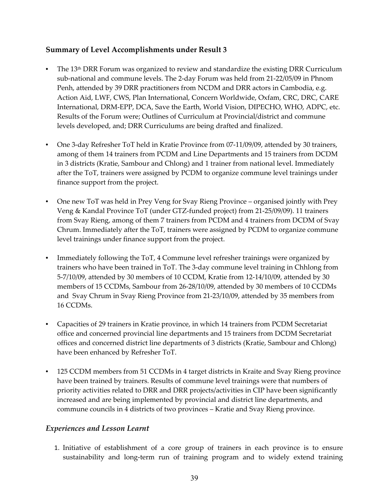## **Summary of Level Accomplishments under Result 3**

- The 13<sup>th</sup> DRR Forum was organized to review and standardize the existing DRR Curriculum sub‐national and commune levels. The 2‐day Forum was held from 21‐22/05/09 in Phnom Penh, attended by 39 DRR practitioners from NCDM and DRR actors in Cambodia, e.g. Action Aid, LWF, CWS, Plan International, Concern Worldwide, Oxfam, CRC, DRC, CARE International, DRM‐EPP, DCA, Save the Earth, World Vision, DIPECHO, WHO, ADPC, etc. Results of the Forum were; Outlines of Curriculum at Provincial/district and commune levels developed, and; DRR Curriculums are being drafted and finalized.
- One 3-day Refresher ToT held in Kratie Province from 07-11/09/09, attended by 30 trainers, among of them 14 trainers from PCDM and Line Departments and 15 trainers from DCDM in 3 districts (Kratie, Sambour and Chlong) and 1 trainer from national level. Immediately after the ToT, trainers were assigned by PCDM to organize commune level trainings under finance support from the project.
- One new ToT was held in Prey Veng for Svay Rieng Province organised jointly with Prey Veng & Kandal Province ToT (under GTZ‐funded project) from 21‐25/09/09). 11 trainers from Svay Rieng, among of them 7 trainers from PCDM and 4 trainers from DCDM of Svay Chrum. Immediately after the ToT, trainers were assigned by PCDM to organize commune level trainings under finance support from the project.
- Immediately following the ToT, 4 Commune level refresher trainings were organized by trainers who have been trained in ToT. The 3‐day commune level training in Chhlong from 5‐7/10/09, attended by 30 members of 10 CCDM, Kratie from 12‐14/10/09, attended by 30 members of 15 CCDMs, Sambour from 26‐28/10/09, attended by 30 members of 10 CCDMs and Svay Chrum in Svay Rieng Province from 21‐23/10/09, attended by 35 members from 16 CCDMs.
- Capacities of 29 trainers in Kratie province, in which 14 trainers from PCDM Secretariat office and concerned provincial line departments and 15 trainers from DCDM Secretariat offices and concerned district line departments of 3 districts (Kratie, Sambour and Chlong) have been enhanced by Refresher ToT.
- 125 CCDM members from 51 CCDMs in 4 target districts in Kraite and Svay Rieng province have been trained by trainers. Results of commune level trainings were that numbers of priority activities related to DRR and DRR projects/activities in CIP have been significantly increased and are being implemented by provincial and district line departments, and commune councils in 4 districts of two provinces – Kratie and Svay Rieng province.

## *Experiences and Lesson Learnt*

1. Initiative of establishment of a core group of trainers in each province is to ensure sustainability and long‐term run of training program and to widely extend training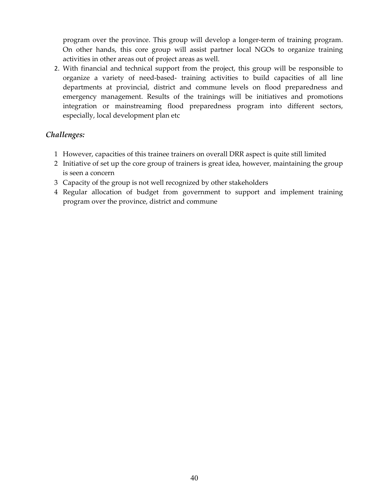program over the province. This group will develop a longer‐term of training program. On other hands, this core group will assist partner local NGOs to organize training activities in other areas out of project areas as well.

2. With financial and technical support from the project, this group will be responsible to organize a variety of need‐based‐ training activities to build capacities of all line departments at provincial, district and commune levels on flood preparedness and emergency management. Results of the trainings will be initiatives and promotions integration or mainstreaming flood preparedness program into different sectors, especially, local development plan etc

### *Challenges:*

- 1 However, capacities of this trainee trainers on overall DRR aspect is quite still limited
- 2 Initiative of set up the core group of trainers is great idea, however, maintaining the group is seen a concern
- 3 Capacity of the group is not well recognized by other stakeholders
- 4 Regular allocation of budget from government to support and implement training program over the province, district and commune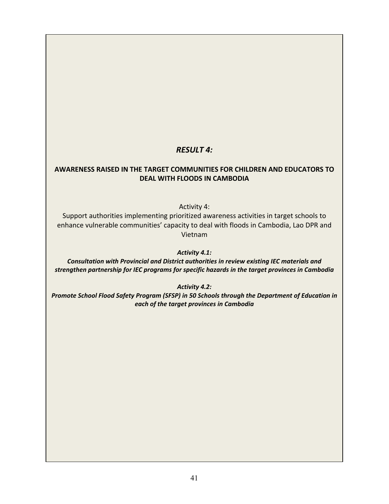## *RESULT 4:*

#### **AWARENESS RAISED IN THE TARGET COMMUNITIES FOR CHILDREN AND EDUCATORS TO DEAL WITH FLOODS IN CAMBODIA**

Activity 4:

Support authorities implementing prioritized awareness activities in target schools to enhance vulnerable communities' capacity to deal with floods in Cambodia, Lao DPR and Vietnam

*Activity 4.1:* 

*Consultation with Provincial and District authorities in review existing IEC materials and strengthen partnership for IEC programs for specific hazards in the target provinces in Cambodia*

*Activity 4.2:* 

*Promote School Flood Safety Program (SFSP) in 50 Schools through the Department of Education in each of the target provinces in Cambodia*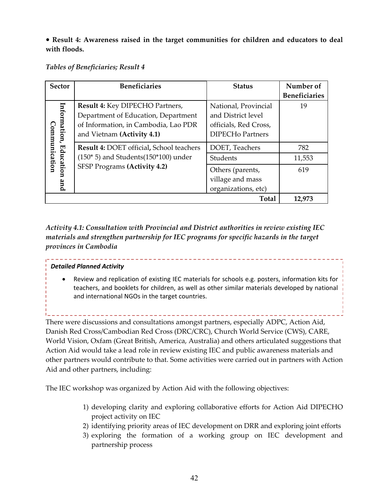**Result 4: Awareness raised in the target communities for children and educators to deal with floods.**

#### *Tables of Beneficiaries; Result 4*

| <b>Sector</b>                 | <b>Beneficiaries</b>                                                                                                                         | <b>Status</b>                                                                                  | Number of<br><b>Beneficiaries</b> |
|-------------------------------|----------------------------------------------------------------------------------------------------------------------------------------------|------------------------------------------------------------------------------------------------|-----------------------------------|
| Information,<br>Communication | Result 4: Key DIPECHO Partners,<br>Department of Education, Department<br>of Information, in Cambodia, Lao PDR<br>and Vietnam (Activity 4.1) | National, Provincial<br>and District level<br>officials, Red Cross,<br><b>DIPECHo Partners</b> | 19                                |
|                               | <b>Result 4: DOET official, School teachers</b>                                                                                              | DOET, Teachers                                                                                 | 782                               |
| Education                     | $(150*5)$ and Students $(150*100)$ under                                                                                                     | Students                                                                                       | 11,553                            |
|                               | SFSP Programs (Activity 4.2)                                                                                                                 | Others (parents,                                                                               | 619                               |
| and                           |                                                                                                                                              | village and mass                                                                               |                                   |
|                               |                                                                                                                                              | organizations, etc)                                                                            |                                   |
|                               |                                                                                                                                              | Total                                                                                          | 12,973                            |

*Activity 4.1: Consultation with Provincial and District authorities in review existing IEC materials and strengthen partnership for IEC programs for specific hazards in the target provinces in Cambodia*

#### *Detailed Planned Activity*

 Review and replication of existing IEC materials for schools e.g. posters, information kits for teachers, and booklets for children, as well as other similar materials developed by national and international NGOs in the target countries.

There were discussions and consultations amongst partners, especially ADPC, Action Aid,

Danish Red Cross/Cambodian Red Cross (DRC/CRC), Church World Service (CWS), CARE, World Vision, Oxfam (Great British, America, Australia) and others articulated suggestions that Action Aid would take a lead role in review existing IEC and public awareness materials and other partners would contribute to that. Some activities were carried out in partners with Action Aid and other partners, including:

The IEC workshop was organized by Action Aid with the following objectives:

- 1) developing clarity and exploring collaborative efforts for Action Aid DIPECHO project activity on IEC
- 2) identifying priority areas of IEC development on DRR and exploring joint efforts
- 3) exploring the formation of a working group on IEC development and partnership process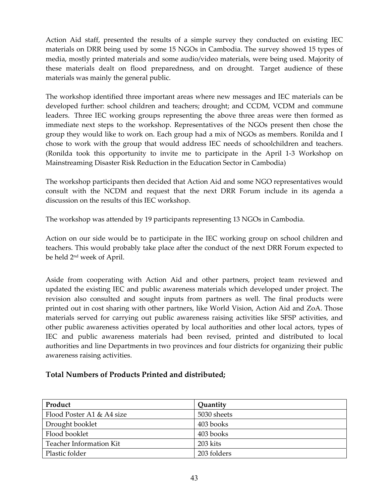Action Aid staff, presented the results of a simple survey they conducted on existing IEC materials on DRR being used by some 15 NGOs in Cambodia. The survey showed 15 types of media, mostly printed materials and some audio/video materials, were being used. Majority of these materials dealt on flood preparedness, and on drought. Target audience of these materials was mainly the general public.

The workshop identified three important areas where new messages and IEC materials can be developed further: school children and teachers; drought; and CCDM, VCDM and commune leaders. Three IEC working groups representing the above three areas were then formed as immediate next steps to the workshop. Representatives of the NGOs present then chose the group they would like to work on. Each group had a mix of NGOs as members. Ronilda and I chose to work with the group that would address IEC needs of schoolchildren and teachers. (Ronilda took this opportunity to invite me to participate in the April 1‐3 Workshop on Mainstreaming Disaster Risk Reduction in the Education Sector in Cambodia)

The workshop participants then decided that Action Aid and some NGO representatives would consult with the NCDM and request that the next DRR Forum include in its agenda a discussion on the results of this IEC workshop.

The workshop was attended by 19 participants representing 13 NGOs in Cambodia.

Action on our side would be to participate in the IEC working group on school children and teachers. This would probably take place after the conduct of the next DRR Forum expected to be held 2nd week of April.

Aside from cooperating with Action Aid and other partners, project team reviewed and updated the existing IEC and public awareness materials which developed under project. The revision also consulted and sought inputs from partners as well. The final products were printed out in cost sharing with other partners, like World Vision, Action Aid and ZoA. Those materials served for carrying out public awareness raising activities like SFSP activities, and other public awareness activities operated by local authorities and other local actors, types of IEC and public awareness materials had been revised, printed and distributed to local authorities and line Departments in two provinces and four districts for organizing their public awareness raising activities.

## **Total Numbers of Products Printed and distributed;**

| Product                   | Quantity    |
|---------------------------|-------------|
| Flood Poster A1 & A4 size | 5030 sheets |
| Drought booklet           | 403 books   |
| Flood booklet             | 403 books   |
| Teacher Information Kit   | 203 kits    |
| Plastic folder            | 203 folders |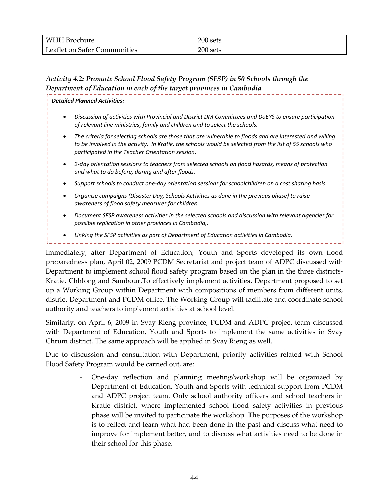| WHH Brochure                       | 200 sets |
|------------------------------------|----------|
| Leaflet on Safer Co<br>Communities | 200 sets |

## *Activity 4.2: Promote School Flood Safety Program (SFSP) in 50 Schools through the Department of Education in each of the target provinces in Cambodia*

#### *Detailed Planned Activities:*

- *Discussion of activities with Provincial and District DM Committees and DoEYS to ensure participation of relevant line ministries, family and children and to select the schools.*
- *The criteria for selecting schools are those that are vulnerable to floods and are interested and willing* to be involved in the activity. In Kratie, the schools would be selected from the list of 55 schools who *participated in the Teacher Orientation session.*
- *2‐day orientation sessions to teachers from selected schools on flood hazards, means of protection and what to do before, during and after floods.*
- *Support schools to conduct one‐day orientation sessions for schoolchildren on a cost sharing basis.*
- *Organise campaigns (Disaster Day, Schools Activities as done in the previous phase) to raise awareness of flood safety measures for children.*
- *Document SFSP awareness activities in the selected schools and discussion with relevant agencies for possible replication in other provinces in Cambodia,.*
- *Linking the SFSP activities as part of Department of Education activities in Cambodia.*

Immediately, after Department of Education, Youth and Sports developed its own flood preparedness plan, April 02, 2009 PCDM Secretariat and project team of ADPC discussed with Department to implement school flood safety program based on the plan in the three districts– Kratie, Chhlong and Sambour.To effectively implement activities, Department proposed to set up a Working Group within Department with compositions of members from different units, district Department and PCDM office. The Working Group will facilitate and coordinate school authority and teachers to implement activities at school level.

Similarly, on April 6, 2009 in Svay Rieng province, PCDM and ADPC project team discussed with Department of Education, Youth and Sports to implement the same activities in Svay Chrum district. The same approach will be applied in Svay Rieng as well.

Due to discussion and consultation with Department, priority activities related with School Flood Safety Program would be carried out, are:

> One-day reflection and planning meeting/workshop will be organized by Department of Education, Youth and Sports with technical support from PCDM and ADPC project team. Only school authority officers and school teachers in Kratie district, where implemented school flood safety activities in previous phase will be invited to participate the workshop. The purposes of the workshop is to reflect and learn what had been done in the past and discuss what need to improve for implement better, and to discuss what activities need to be done in their school for this phase.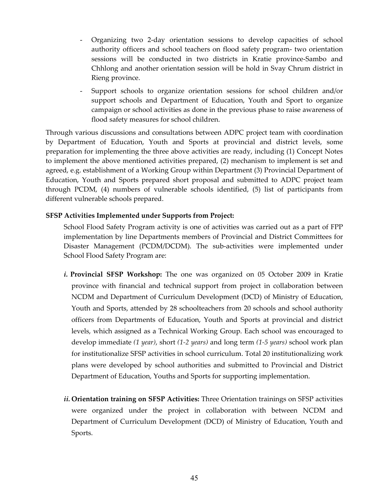- Organizing two 2‐day orientation sessions to develop capacities of school authority officers and school teachers on flood safety program‐ two orientation sessions will be conducted in two districts in Kratie province-Sambo and Chhlong and another orientation session will be hold in Svay Chrum district in Rieng province.
- Support schools to organize orientation sessions for school children and/or support schools and Department of Education, Youth and Sport to organize campaign or school activities as done in the previous phase to raise awareness of flood safety measures for school children.

Through various discussions and consultations between ADPC project team with coordination by Department of Education, Youth and Sports at provincial and district levels, some preparation for implementing the three above activities are ready, including (1) Concept Notes to implement the above mentioned activities prepared, (2) mechanism to implement is set and agreed, e.g. establishment of a Working Group within Department (3) Provincial Department of Education, Youth and Sports prepared short proposal and submitted to ADPC project team through PCDM, (4) numbers of vulnerable schools identified, (5) list of participants from different vulnerable schools prepared.

#### **SFSP Activities Implemented under Supports from Project:**

School Flood Safety Program activity is one of activities was carried out as a part of FPP implementation by line Departments members of Provincial and District Committees for Disaster Management (PCDM/DCDM). The sub‐activities were implemented under School Flood Safety Program are:

- *i.* **Provincial SFSP Workshop:** The one was organized on 05 October 2009 in Kratie province with financial and technical support from project in collaboration between NCDM and Department of Curriculum Development (DCD) of Ministry of Education, Youth and Sports, attended by 28 schoolteachers from 20 schools and school authority officers from Departments of Education, Youth and Sports at provincial and district levels, which assigned as a Technical Working Group. Each school was encouraged to develop immediate *(1 year)*, short *(1‐2 years)* and long term *(1‐5 years)* school work plan for institutionalize SFSP activities in school curriculum. Total 20 institutionalizing work plans were developed by school authorities and submitted to Provincial and District Department of Education, Youths and Sports for supporting implementation.
- *ii.* **Orientation training on SFSP Activities:** Three Orientation trainings on SFSP activities were organized under the project in collaboration with between NCDM and Department of Curriculum Development (DCD) of Ministry of Education, Youth and Sports.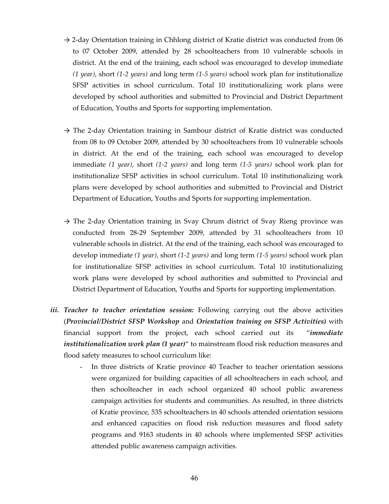- $\rightarrow$  2-day Orientation training in Chhlong district of Kratie district was conducted from 06 to 07 October 2009, attended by 28 schoolteachers from 10 vulnerable schools in district. At the end of the training, each school was encouraged to develop immediate *(1 year)*, short *(1‐2 years)* and long term *(1‐5 years)* school work plan for institutionalize SFSP activities in school curriculum. Total 10 institutionalizing work plans were developed by school authorities and submitted to Provincial and District Department of Education, Youths and Sports for supporting implementation.
- $\rightarrow$  The 2-day Orientation training in Sambour district of Kratie district was conducted from 08 to 09 October 2009, attended by 30 schoolteachers from 10 vulnerable schools in district. At the end of the training, each school was encouraged to develop immediate *(1 year)*, short *(1‐2 years)* and long term *(1‐5 years)* school work plan for institutionalize SFSP activities in school curriculum. Total 10 institutionalizing work plans were developed by school authorities and submitted to Provincial and District Department of Education, Youths and Sports for supporting implementation.
- $\rightarrow$  The 2-day Orientation training in Svay Chrum district of Svay Rieng province was conducted from 28‐29 September 2009, attended by 31 schoolteachers from 10 vulnerable schools in district. At the end of the training, each school was encouraged to develop immediate *(1 year)*, short *(1‐2 years)* and long term *(1‐5 years)* school work plan for institutionalize SFSP activities in school curriculum. Total 10 institutionalizing work plans were developed by school authorities and submitted to Provincial and District Department of Education, Youths and Sports for supporting implementation.
- *iii. Teacher to teacher orientation session:* Following carrying out the above activities (*Provincial/District SFSP Workshop* and *Orientation training on SFSP Activities)* with financial support from the project, each school carried out its "*immediate institutionalization work plan (1 year)*" to mainstream flood risk reduction measures and flood safety measures to school curriculum like:
	- In three districts of Kratie province 40 Teacher to teacher orientation sessions were organized for building capacities of all schoolteachers in each school, and then schoolteacher in each school organized 40 school public awareness campaign activities for students and communities. As resulted, in three districts of Kratie province, 535 schoolteachers in 40 schools attended orientation sessions and enhanced capacities on flood risk reduction measures and flood safety programs and 9163 students in 40 schools where implemented SFSP activities attended public awareness campaign activities.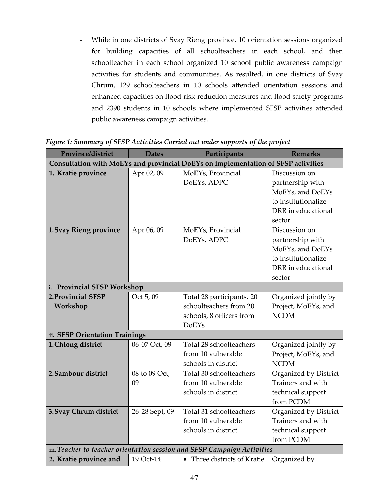- While in one districts of Svay Rieng province, 10 orientation sessions organized for building capacities of all schoolteachers in each school, and then schoolteacher in each school organized 10 school public awareness campaign activities for students and communities. As resulted, in one districts of Svay Chrum, 129 schoolteachers in 10 schools attended orientation sessions and enhanced capacities on flood risk reduction measures and flood safety programs and 2390 students in 10 schools where implemented SFSP activities attended public awareness campaign activities.

| Province/district               | <b>Dates</b>   | Participants                                                                      | <b>Remarks</b>        |
|---------------------------------|----------------|-----------------------------------------------------------------------------------|-----------------------|
|                                 |                | Consultation with MoEYs and provincial DoEYs on implementation of SFSP activities |                       |
| 1. Kratie province              | Apr 02, 09     | MoEYs, Provincial                                                                 | Discussion on         |
|                                 |                | DoEYs, ADPC                                                                       | partnership with      |
|                                 |                |                                                                                   | MoEYs, and DoEYs      |
|                                 |                |                                                                                   | to institutionalize   |
|                                 |                |                                                                                   | DRR in educational    |
|                                 |                |                                                                                   | sector                |
| 1. Svay Rieng province          | Apr 06, 09     | MoEYs, Provincial                                                                 | Discussion on         |
|                                 |                | DoEYs, ADPC                                                                       | partnership with      |
|                                 |                |                                                                                   | MoEYs, and DoEYs      |
|                                 |                |                                                                                   | to institutionalize   |
|                                 |                |                                                                                   | DRR in educational    |
|                                 |                |                                                                                   | sector                |
| <b>Provincial SFSP Workshop</b> |                |                                                                                   |                       |
| 2. Provincial SFSP              | Oct 5, 09      | Total 28 participants, 20                                                         | Organized jointly by  |
| Workshop                        |                | schoolteachers from 20                                                            | Project, MoEYs, and   |
|                                 |                | schools, 8 officers from                                                          | <b>NCDM</b>           |
|                                 |                | <b>DoEYs</b>                                                                      |                       |
| ii. SFSP Orientation Trainings  |                |                                                                                   |                       |
| 1. Chlong district              | 06-07 Oct, 09  | Total 28 schoolteachers                                                           | Organized jointly by  |
|                                 |                | from 10 vulnerable                                                                | Project, MoEYs, and   |
|                                 |                | schools in district                                                               | <b>NCDM</b>           |
| 2. Sambour district             | 08 to 09 Oct,  | Total 30 schoolteachers                                                           | Organized by District |
|                                 | 09             | from 10 vulnerable                                                                | Trainers and with     |
|                                 |                | schools in district                                                               | technical support     |
|                                 |                |                                                                                   | from PCDM             |
| 3. Svay Chrum district          | 26-28 Sept, 09 | Total 31 schoolteachers                                                           | Organized by District |
|                                 |                | from 10 vulnerable                                                                | Trainers and with     |
|                                 |                | schools in district                                                               | technical support     |
|                                 |                |                                                                                   | from PCDM             |
|                                 |                | iii. Teacher to teacher orientation session and SFSP Campaign Activities          |                       |
| 2. Kratie province and          | 19 Oct-14      | • Three districts of Kratie                                                       | Organized by          |

*Figure 1: Summary of SFSP Activities Carried out under supports of the project*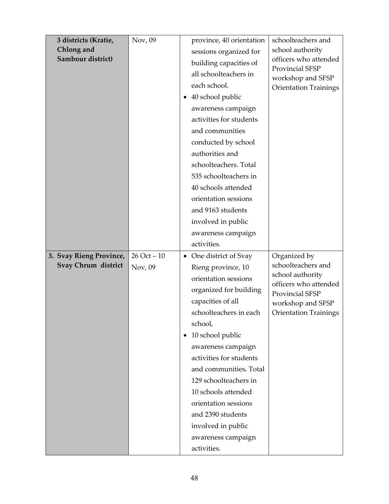| 3 districts (Kratie,    | Nov, 09        |           | province, 40 orientation | schoolteachers and                        |
|-------------------------|----------------|-----------|--------------------------|-------------------------------------------|
| Chlong and              |                |           | sessions organized for   | school authority                          |
| Sambour district)       |                |           | building capacities of   | officers who attended                     |
|                         |                |           | all schoolteachers in    | Provincial SFSP<br>workshop and SFSP      |
|                         |                |           | each school.             | <b>Orientation Trainings</b>              |
|                         |                |           | • 40 school public       |                                           |
|                         |                |           | awareness campaign       |                                           |
|                         |                |           | activities for students  |                                           |
|                         |                |           | and communities          |                                           |
|                         |                |           | conducted by school      |                                           |
|                         |                |           | authorities and          |                                           |
|                         |                |           | schoolteachers. Total    |                                           |
|                         |                |           | 535 schoolteachers in    |                                           |
|                         |                |           | 40 schools attended      |                                           |
|                         |                |           | orientation sessions     |                                           |
|                         |                |           | and 9163 students        |                                           |
|                         |                |           | involved in public       |                                           |
|                         |                |           | awareness campaign       |                                           |
|                         |                |           | activities.              |                                           |
| 3. Svay Rieng Province, | $26$ Oct $-10$ | $\bullet$ | One district of Svay     | Organized by                              |
| Svay Chrum district     | Nov, 09        |           | Rieng province, 10       | schoolteachers and                        |
|                         |                |           | orientation sessions     | school authority<br>officers who attended |
|                         |                |           | organized for building   | Provincial SFSP                           |
|                         |                |           | capacities of all        | workshop and SFSP                         |
|                         |                |           | schoolteachers in each   | <b>Orientation Trainings</b>              |
|                         |                |           | school,                  |                                           |
|                         |                |           | 10 school public         |                                           |
|                         |                |           | awareness campaign       |                                           |
|                         |                |           | activities for students  |                                           |
|                         |                |           | and communities. Total   |                                           |
|                         |                |           | 129 schoolteachers in    |                                           |
|                         |                |           | 10 schools attended      |                                           |
|                         |                |           | orientation sessions     |                                           |
|                         |                |           | and 2390 students        |                                           |
|                         |                |           | involved in public       |                                           |
|                         |                |           | awareness campaign       |                                           |
|                         |                |           | activities.              |                                           |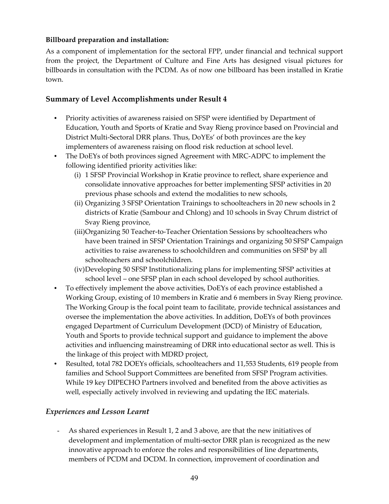### **Billboard preparation and installation:**

As a component of implementation for the sectoral FPP, under financial and technical support from the project, the Department of Culture and Fine Arts has designed visual pictures for billboards in consultation with the PCDM. As of now one billboard has been installed in Kratie town.

## **Summary of Level Accomplishments under Result 4**

- Priority activities of awareness raisied on SFSP were identified by Department of Education, Youth and Sports of Kratie and Svay Rieng province based on Provincial and District Multi‐Sectoral DRR plans. Thus, DoYEs' of both provinces are the key implementers of awareness raising on flood risk reduction at school level.
- The DoEYs of both provinces signed Agreement with MRC-ADPC to implement the following identified priority activities like:
	- (i) 1 SFSP Provincial Workshop in Kratie province to reflect, share experience and consolidate innovative approaches for better implementing SFSP activities in 20 previous phase schools and extend the modalities to new schools,
	- (ii) Organizing 3 SFSP Orientation Trainings to schoolteachers in 20 new schools in 2 districts of Kratie (Sambour and Chlong) and 10 schools in Svay Chrum district of Svay Rieng province,
	- (iii)Organizing 50 Teacher‐to‐Teacher Orientation Sessions by schoolteachers who have been trained in SFSP Orientation Trainings and organizing 50 SFSP Campaign activities to raise awareness to schoolchildren and communities on SFSP by all schoolteachers and schoolchildren.
	- (iv)Developing 50 SFSP Institutionalizing plans for implementing SFSP activities at school level – one SFSP plan in each school developed by school authorities.
- To effectively implement the above activities, DoEYs of each province established a Working Group, existing of 10 members in Kratie and 6 members in Svay Rieng province. The Working Group is the focal point team to facilitate, provide technical assistances and oversee the implementation the above activities. In addition, DoEYs of both provinces engaged Department of Curriculum Development (DCD) of Ministry of Education, Youth and Sports to provide technical support and guidance to implement the above activities and influencing mainstreaming of DRR into educational sector as well. This is the linkage of this project with MDRD project,
- Resulted, total 782 DOEYs officials, schoolteachers and 11,553 Students, 619 people from families and School Support Committees are benefited from SFSP Program activities. While 19 key DIPECHO Partners involved and benefited from the above activities as well, especially actively involved in reviewing and updating the IEC materials.

## *Experiences and Lesson Learnt*

- As shared experiences in Result 1, 2 and 3 above, are that the new initiatives of development and implementation of multi-sector DRR plan is recognized as the new innovative approach to enforce the roles and responsibilities of line departments, members of PCDM and DCDM. In connection, improvement of coordination and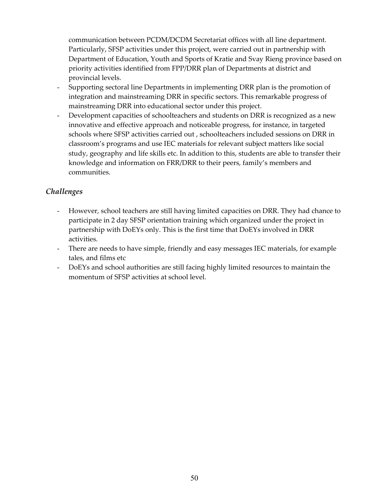communication between PCDM/DCDM Secretariat offices with all line department. Particularly, SFSP activities under this project, were carried out in partnership with Department of Education, Youth and Sports of Kratie and Svay Rieng province based on priority activities identified from FPP/DRR plan of Departments at district and provincial levels.

- Supporting sectoral line Departments in implementing DRR plan is the promotion of integration and mainstreaming DRR in specific sectors. This remarkable progress of mainstreaming DRR into educational sector under this project.
- Development capacities of schoolteachers and students on DRR is recognized as a new innovative and effective approach and noticeable progress, for instance, in targeted schools where SFSP activities carried out , schoolteachers included sessions on DRR in classroom's programs and use IEC materials for relevant subject matters like social study, geography and life skills etc. In addition to this, students are able to transfer their knowledge and information on FRR/DRR to their peers, family's members and communities.

## *Challenges*

- However, school teachers are still having limited capacities on DRR. They had chance to participate in 2 day SFSP orientation training which organized under the project in partnership with DoEYs only. This is the first time that DoEYs involved in DRR activities.
- There are needs to have simple, friendly and easy messages IEC materials, for example tales, and films etc
- DoEYs and school authorities are still facing highly limited resources to maintain the momentum of SFSP activities at school level.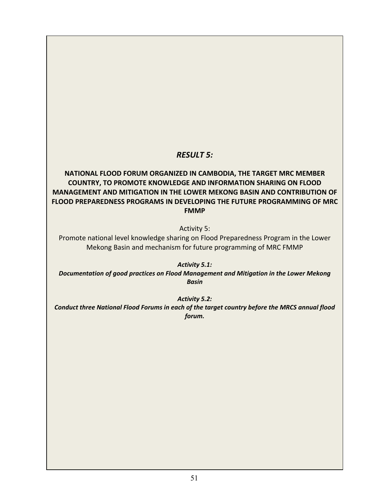## *RESULT 5:*

## **NATIONAL FLOOD FORUM ORGANIZED IN CAMBODIA, THE TARGET MRC MEMBER COUNTRY, TO PROMOTE KNOWLEDGE AND INFORMATION SHARING ON FLOOD MANAGEMENT AND MITIGATION IN THE LOWER MEKONG BASIN AND CONTRIBUTION OF FLOOD PREPAREDNESS PROGRAMS IN DEVELOPING THE FUTURE PROGRAMMING OF MRC FMMP**

Activity 5:

Promote national level knowledge sharing on Flood Preparedness Program in the Lower Mekong Basin and mechanism for future programming of MRC FMMP

*Activity 5.1:*

*Documentation of good practices on Flood Management and Mitigation in the Lower Mekong Basin*

*Activity 5.2:*

*Conduct three National Flood Forums in each of the target country before the MRCS annual flood forum.*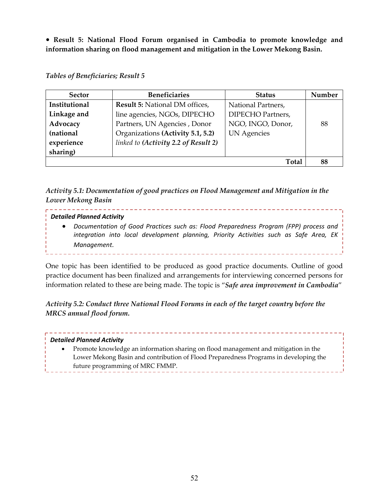**Result 5: National Flood Forum organised in Cambodia to promote knowledge and information sharing on flood management and mitigation in the Lower Mekong Basin.**

#### *Tables of Beneficiaries; Result 5*

| <b>Sector</b> | <b>Beneficiaries</b>                 | <b>Status</b>            | Number |
|---------------|--------------------------------------|--------------------------|--------|
| Institutional | Result 5: National DM offices,       | National Partners,       |        |
| Linkage and   | line agencies, NGOs, DIPECHO         | <b>DIPECHO Partners,</b> |        |
| Advocacy      | Partners, UN Agencies, Donor         | NGO, INGO, Donor,        | 88     |
| (national     | Organizations (Activity 5.1, 5.2)    | <b>UN</b> Agencies       |        |
| experience    | linked to (Activity 2.2 of Result 2) |                          |        |
| sharing)      |                                      |                          |        |
|               |                                      | <b>Total</b>             | 88     |

*Activity 5.1: Documentation of good practices on Flood Management and Mitigation in the Lower Mekong Basin* 

#### *Detailed Planned Activity*

. . . . . . . . . . . .

 *Documentation of Good Practices such as: Flood Preparedness Program (FPP) process and integration into local development planning, Priority Activities such as Safe Area, EK Management.*

One topic has been identified to be produced as good practice documents. Outline of good practice document has been finalized and arrangements for interviewing concerned persons for information related to these are being made. The topic is "*Safe area improvement in Cambodia*"

*Activity 5.2: Conduct three National Flood Forums in each of the target country before the MRCS annual flood forum.*

## *Detailed Planned Activity*

 Promote knowledge an information sharing on flood management and mitigation in the Lower Mekong Basin and contribution of Flood Preparedness Programs in developing the future programming of MRC FMMP.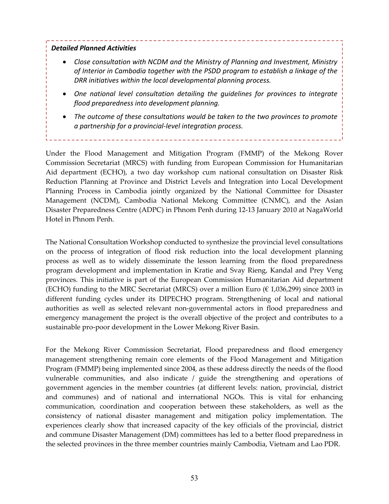#### *Detailed Planned Activities*

- *Close consultation with NCDM and the Ministry of Planning and Investment, Ministry of Interior in Cambodia together with the PSDD program to establish a linkage of the DRR initiatives within the local developmental planning process.*
- *One national level consultation detailing the guidelines for provinces to integrate flood preparedness into development planning.*
- *The outcome of these consultations would be taken to the two provinces to promote a partnership for a provincial‐level integration process.*

Under the Flood Management and Mitigation Program (FMMP) of the Mekong Rover Commission Secretariat (MRCS) with funding from European Commission for Humanitarian Aid department (ECHO), a two day workshop cum national consultation on Disaster Risk Reduction Planning at Province and District Levels and Integration into Local Development Planning Process in Cambodia jointly organized by the National Committee for Disaster Management (NCDM), Cambodia National Mekong Committee (CNMC), and the Asian Disaster Preparedness Centre (ADPC) in Phnom Penh during 12‐13 January 2010 at NagaWorld Hotel in Phnom Penh.

The National Consultation Workshop conducted to synthesize the provincial level consultations on the process of integration of flood risk reduction into the local development planning process as well as to widely disseminate the lesson learning from the flood preparedness program development and implementation in Kratie and Svay Rieng, Kandal and Prey Veng provinces. This initiative is part of the European Commission Humanitarian Aid department (ECHO) funding to the MRC Secretariat (MRCS) over a million Euro ( $\epsilon$  1,036,299) since 2003 in different funding cycles under its DIPECHO program. Strengthening of local and national authorities as well as selected relevant non‐governmental actors in flood preparedness and emergency management the project is the overall objective of the project and contributes to a sustainable pro‐poor development in the Lower Mekong River Basin.

For the Mekong River Commission Secretariat, Flood preparedness and flood emergency management strengthening remain core elements of the Flood Management and Mitigation Program (FMMP) being implemented since 2004, as these address directly the needs of the flood vulnerable communities, and also indicate / guide the strengthening and operations of government agencies in the member countries (at different levels: nation, provincial, district and communes) and of national and international NGOs. This is vital for enhancing communication, coordination and cooperation between these stakeholders, as well as the consistency of national disaster management and mitigation policy implementation. The experiences clearly show that increased capacity of the key officials of the provincial, district and commune Disaster Management (DM) committees has led to a better flood preparedness in the selected provinces in the three member countries mainly Cambodia, Vietnam and Lao PDR.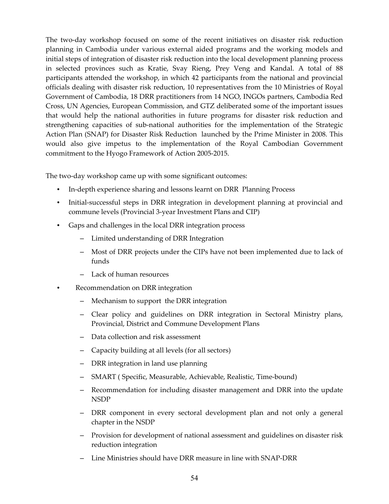The two-day workshop focused on some of the recent initiatives on disaster risk reduction planning in Cambodia under various external aided programs and the working models and initial steps of integration of disaster risk reduction into the local development planning process in selected provinces such as Kratie, Svay Rieng, Prey Veng and Kandal. A total of 88 participants attended the workshop, in which 42 participants from the national and provincial officials dealing with disaster risk reduction, 10 representatives from the 10 Ministries of Royal Government of Cambodia, 18 DRR practitioners from 14 NGO, INGOs partners, Cambodia Red Cross, UN Agencies, European Commission, and GTZ deliberated some of the important issues that would help the national authorities in future programs for disaster risk reduction and strengthening capacities of sub-national authorities for the implementation of the Strategic Action Plan (SNAP) for Disaster Risk Reduction launched by the Prime Minister in 2008. This would also give impetus to the implementation of the Royal Cambodian Government commitment to the Hyogo Framework of Action 2005‐2015.

The two‐day workshop came up with some significant outcomes:

- In-depth experience sharing and lessons learnt on DRR Planning Process
- Initial-successful steps in DRR integration in development planning at provincial and commune levels (Provincial 3‐year Investment Plans and CIP)
- Gaps and challenges in the local DRR integration process
	- Limited understanding of DRR Integration
	- Most of DRR projects under the CIPs have not been implemented due to lack of funds
	- Lack of human resources
- Recommendation on DRR integration
	- Mechanism to support the DRR integration
	- Clear policy and guidelines on DRR integration in Sectoral Ministry plans, Provincial, District and Commune Development Plans
	- Data collection and risk assessment
	- Capacity building at all levels (for all sectors)
	- DRR integration in land use planning
	- SMART ( Specific, Measurable, Achievable, Realistic, Time‐bound)
	- Recommendation for including disaster management and DRR into the update NSDP
	- DRR component in every sectoral development plan and not only a general chapter in the NSDP
	- Provision for development of national assessment and guidelines on disaster risk reduction integration
	- Line Ministries should have DRR measure in line with SNAP‐DRR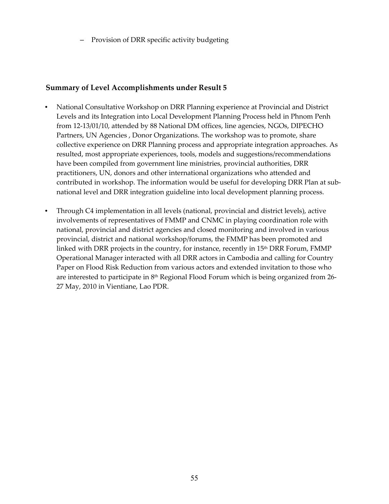– Provision of DRR specific activity budgeting

## **Summary of Level Accomplishments under Result 5**

- National Consultative Workshop on DRR Planning experience at Provincial and District Levels and its Integration into Local Development Planning Process held in Phnom Penh from 12‐13/01/10, attended by 88 National DM offices, line agencies, NGOs, DIPECHO Partners, UN Agencies , Donor Organizations. The workshop was to promote, share collective experience on DRR Planning process and appropriate integration approaches. As resulted, most appropriate experiences, tools, models and suggestions/recommendations have been compiled from government line ministries, provincial authorities, DRR practitioners, UN, donors and other international organizations who attended and contributed in workshop. The information would be useful for developing DRR Plan at subnational level and DRR integration guideline into local development planning process.
- Through C4 implementation in all levels (national, provincial and district levels), active involvements of representatives of FMMP and CNMC in playing coordination role with national, provincial and district agencies and closed monitoring and involved in various provincial, district and national workshop/forums, the FMMP has been promoted and linked with DRR projects in the country, for instance, recently in  $15<sup>th</sup> DRR$  Forum, FMMP Operational Manager interacted with all DRR actors in Cambodia and calling for Country Paper on Flood Risk Reduction from various actors and extended invitation to those who are interested to participate in 8<sup>th</sup> Regional Flood Forum which is being organized from 26-27 May, 2010 in Vientiane, Lao PDR.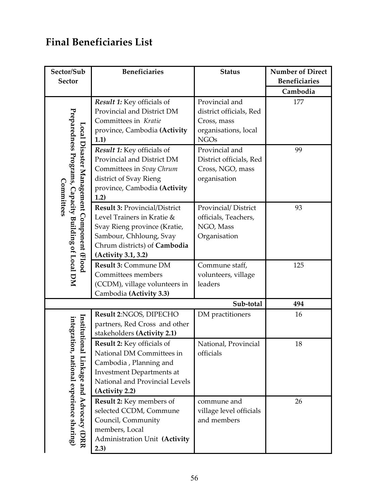# **Final Beneficiaries List**

| Sector/Sub                                                                                                       | <b>Beneficiaries</b>                 | <b>Status</b>           | <b>Number of Direct</b> |
|------------------------------------------------------------------------------------------------------------------|--------------------------------------|-------------------------|-------------------------|
| <b>Sector</b>                                                                                                    |                                      |                         | <b>Beneficiaries</b>    |
|                                                                                                                  |                                      |                         | Cambodia                |
|                                                                                                                  | Result 1: Key officials of           | Provincial and          | 177                     |
|                                                                                                                  | Provincial and District DM           | district officials, Red |                         |
|                                                                                                                  | Committees in Kratie                 | Cross, mass             |                         |
|                                                                                                                  | province, Cambodia (Activity         | organisations, local    |                         |
|                                                                                                                  | 1.1)                                 | <b>NGOs</b>             |                         |
|                                                                                                                  | Result 1: Key officials of           | Provincial and          | 99                      |
|                                                                                                                  | Provincial and District DM           | District officials, Red |                         |
|                                                                                                                  | Committees in Svay Chrum             | Cross, NGO, mass        |                         |
|                                                                                                                  | district of Svay Rieng               | organisation            |                         |
| Preparedness Programs, Capacity Building of Local DM<br>Local Disaster Management Component (Flood<br>Committees | province, Cambodia (Activity<br>1.2) |                         |                         |
|                                                                                                                  | Result 3: Provincial/District        | Provincial/District     | 93                      |
|                                                                                                                  | Level Trainers in Kratie &           | officials, Teachers,    |                         |
|                                                                                                                  | Svay Rieng province (Kratie,         | NGO, Mass               |                         |
|                                                                                                                  | Sambour, Chhloung, Svay              | Organisation            |                         |
|                                                                                                                  | Chrum districts) of Cambodia         |                         |                         |
|                                                                                                                  | (Activity 3.1, 3.2)                  |                         |                         |
|                                                                                                                  | Result 3: Commune DM                 | Commune staff,          | 125                     |
|                                                                                                                  | Committees members                   | volunteers, village     |                         |
|                                                                                                                  | (CCDM), village volunteers in        | leaders                 |                         |
|                                                                                                                  | Cambodia (Activity 3.3)              |                         |                         |
|                                                                                                                  |                                      | Sub-total               | 494                     |
|                                                                                                                  | Result 2:NGOS, DIPECHO               | DM practitioners        | 16                      |
|                                                                                                                  | partners, Red Cross and other        |                         |                         |
| Institution                                                                                                      | stakeholders (Activity 2.1)          |                         |                         |
|                                                                                                                  | Result 2: Key officials of           | National, Provincial    | 18                      |
|                                                                                                                  | National DM Committees in            | officials               |                         |
|                                                                                                                  | Cambodia, Planning and               |                         |                         |
|                                                                                                                  | <b>Investment Departments at</b>     |                         |                         |
|                                                                                                                  | National and Provincial Levels       |                         |                         |
|                                                                                                                  | (Activity 2.2)                       |                         |                         |
|                                                                                                                  | Result 2: Key members of             | commune and             | 26                      |
|                                                                                                                  | selected CCDM, Commune               | village level officials |                         |
| integration, national experience sharing)<br>l Linkage and Advocacy (DRR                                         | Council, Community                   | and members             |                         |
|                                                                                                                  | members, Local                       |                         |                         |
|                                                                                                                  | Administration Unit (Activity        |                         |                         |
|                                                                                                                  | 2.3)                                 |                         |                         |